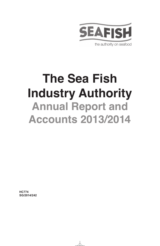

# **The Sea Fish Industry Authority Annual Report and Accounts 2013/2014 4**

**HC774 SG/2014/242**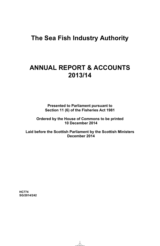# **The Sea Fish Industry Authority**

# **ANNUAL REPORT & ACCOUNTS 2013/14**

**Presented to Parliament pursuant to Section 11 (6) of the Fisheries Act 1981** 

**Ordered by the House of Commons to be printed 10 December 2014**

**Laid before the Scottish Parliament by the Scottish Ministers December 2014** 

**HC774 SG/2014/242**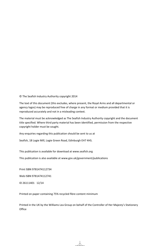© The Seafish Industry Authority copyright 2014

The text of this document (this excludes, where present, the Royal Arms and all departmental or agency logos) may be reproduced free of charge in any format or medium provided that it is reproduced accurately and not in a misleading context.

The material must be acknowledged as The Seafish Industry Authority copyright and the document title specified. Where third party material has been identified, permission from the respective copyright holder must be sought.

Any enquiries regarding this publication should be sent to us at

Seafish, 18 Logie Mill, Logie Green Road, Edinburgh EH7 4HS.

This publication is available for download at www.seafish.org

This publication is also available at www.gov.uk/government/publications

Print ISBN 9781474112734

Web ISBN 9781474112741

ID 26111401 12/14

Printed on paper containing 75% recycled fibre content minimum

Printed in the UK by the Williams Lea Group on behalf of the Controller of Her Majesty's Stationery **Office**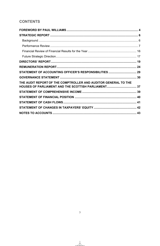# **CONTENTS**

| THE AUDIT REPORT OF THE COMPTROLLER AND AUDITOR GENERAL TO THE |  |
|----------------------------------------------------------------|--|
|                                                                |  |
|                                                                |  |
|                                                                |  |
|                                                                |  |
|                                                                |  |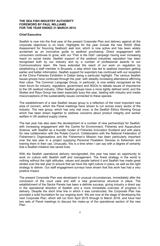#### **THE SEA FISH INDUSTRY AUTHORITY FOREWORD BY PAUL WILLIAMS FOR THE YEAR ENDED 31 MARCH 2014**

#### **Chief Executive**

Seafish is now into the final year of the present Corporate Plan and delivery against all the corporate objectives is on track. Highlights for the year include the new RASS (Risk Assessment for Sourcing Seafood) web tool, which is now active and has been widely acclaimed as an innovative guide to seafood purchasing. Direct engagement with consumers continues to grow, with our "Fish is the Dish" campaign having ever increasing reach on social media. Seafish support of the seafood industries reputation has been recognised both by our industry and by a number of professional awards to our Communications team. We have extended the reach of our work on regulation by establishing a staff member in Brussels, a step which has led to seafood importers getting earlier and better information. Seafish support for exporters has continued with our reception at the China Fisheries Exhibition in Dalian being a particular highlight. The various Seafish issues groups have continued through the year, with steadily increasing attendance affirming their value. The Common Language Group, in particular, is now widely recognised as the main forum for industry, regulators, government and NGOs to debate issues of importance to the UK seafood industry. Other Seafish groups have a more tightly defined remit, and the Skates and Rays Group has been especially busy this year, dealing with industry and media misconceptions of the sustainability issues connected to these species.

The establishment of a new Seafish issues group is a reflection of the most important new area of concern, which the Panel meetings have shown to run across every sector of the industry. The new group, which has only met once, is the Seafish Ethics Working Group which has been drawn together to address concerns about product integrity and worker welfare in UK seafood supply chains.

The last year has also seen the development of a number of new partnerships for Seafish, with increasing engagement with the Centre for Environment, Fisheries and Aquaculture Science, with Seafish as a founder funder of Fisheries Innovation Scotland and with plans for new collaboration with the Potato Council. Collaboration with the National Federation of Fishermen's Organisations and the Fishermen's Mission has been particularly important over the last year in a project supplying Personal Floatation Devices to fishermen and training them in their use. Unusually, this is a time when I can say with a degree of certainty that a Seafish initiative has saved lives.

With the Seafish operational delivery reinvigorated, this year has been an opportunity to work on culture with Seafish staff and management. The finest strategy in the world is nothing without the right attitudes, values and people behind it and Seafish has made great strides over the last year to ensure that we have the right culture in place, as well as the right strategy to deliver. Our staff engagement surveys have shown that this work has had a very positive impact.

The present Corporate Plan was developed in unusual circumstances, immediately after the conclusion of the court case and with a new governance structure in place. The establishment of the Sector Panels has been a definite success, giving industry a direct say in the operational direction of Seafish and a more immediate overview of progress in delivery. Despite the short time line in which it was constructed, the Corporate Plan has provided a solid foundation for our ongoing work. We are now at the stage of developing the next Corporate Plan, which will run from April 2015 through to March 2018, and have had two sets of Panel meetings to discuss the make-up of the operational section of the new Plan.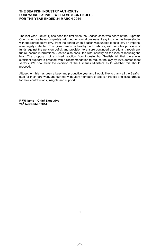# **THE SEA FISH INDUSTRY AUTHORITY FOREWORD BY PAUL WILLIAMS (CONTINUED) FOR THE YEAR ENDED 31 MARCH 2014**

The last year (2013/14) has been the first since the Seafish case was heard at the Supreme Court when we have completely returned to normal business. Levy income has been stable, with the retrospective levy, from the period when Seafish was unable to take levy on imports, now largely collected. This gives Seafish a healthy bank balance, with sensible provision of funds against the pension deficit and provision to ensure continued operations through any future income interruptions. Seafish also consulted with industry on the idea of reducing the levy. The proposal got a mixed reaction from industry but Seafish felt that there was sufficient support to proceed with a recommendation to reduce the levy by 10% across most sectors. We now await the decision of the Fisheries Ministers as to whether this should proceed.

Altogether, this has been a busy and productive year and I would like to thank all the Seafish staff for their hard work and our many industry members of Seafish Panels and issue groups for their contributions, insights and support.

**P Williams – Chief Executive 28th November 2014**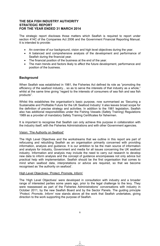The strategic report discloses those matters which Seafish is required to report under section 414C of the Companies Act 2006 and the Government Financial Reporting Manual. It is intended to provide:

- An overview of our background, vision and high level objectives during the year.
- A balanced and comprehensive analysis of the development and performance of Seafish during the financial year.
- The financial position of the business at the end of the year.
- The main trends and factors likely to affect the future development, performance and position of the business.

# **Background**

When Seafish was established in 1981, the Fisheries Act defined its role as "promoting the efficiency of the seafood industry... so as to serve the interests of that industry as a whole," whilst at the same time giving "regard to the interests of consumers of sea fish and sea fish products".

Whilst this establishes the organisation's basic purpose, now summarised as 'Securing a Sustainable and Profitable Future for the UK Seafood Industry' it also leaves broad scope for the definition of precise strategy and activities. In addition to the 1981 legislation, Seafish also has additional responsibilities under the Fishing Vessels (Safety Training) Regulations 1989 as a provider of mandatory Safety Training Certificates for fishermen.

It is important to recognise that Seafish can only achieve this purpose in collaboration with the industry itself, with the Fisheries Administrations and with other Government agencies.

#### Vision: 'The Authority on Seafood'

The High Level Objectives and the workstreams that we outline in this report are part of refocusing and rebuilding Seafish as an organisation primarily concerned with providing information, analysis and guidance. It is our ambition to be the main source of information and analysis for industry, Government and media for all issues concerning the UK seafood industry. Information and analysis may include the need to carry out research to develop new data to inform analysis and the concept of guidance encompasses not only advice but practical help with implementation. Seafish should be the first organisation that comes to mind when seafood data, interpretations or advice are required, so that we become recognised as 'the authority on seafood'.

#### High Level Objectives: 'Protect, Promote, Inform'

The 'High Level Objectives' were developed in consultation with industry and a broader range of interested parties some years ago, prior to the legal challenge to the levy. They were reassessed as part of the Fisheries Administrations' conversations with industry in October 2011, by the new Seafish Board and by the Sector Panels. The guiding principle '*Protect, Promote, Inform'* now stands above all the work that Seafish undertakes, giving direction to the work supporting the purpose of Seafish.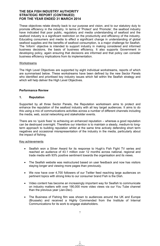These objectives relate directly back to our purpose and vision, and to our statutory duty to promote efficiency in the industry. In terms of 'Protect' and 'Promote', the seafood industry have indicated that poor public, regulatory and media understanding of seafood and the seafood industry is a significant restriction on the productivity and efficiency of the industry. Educating consumers and media to effect a significant change in understanding of global seafood supplies and the benefits of seafood consumption, is a major challenge for Seafish. The 'Inform' objective is intended to support industry in making considered and informed business decisions, the basis of business efficiency. It also supports Government in developing policy, again ensuring that decisions are informed and that policy can consider business efficiency implications from its implementation.

#### **Workstreams**

The High Level Objectives are supported by eight individual workstreams, reports of which are summarised below. These workstreams have been defined by the new Sector Panels who identified and prioritised key industry issues which fall within the Seafish strategy and which will help deliver the High Level Objectives.

#### **Performance Review**

#### **1. Reputation**

Supported by all three Sector Panels, the Reputation workstream aims to protect and enhance the reputation of the seafood industry with all key target audiences. It aims to do this using a mix of communications activities across a number of different channels including the media, web, social networking and stakeholder events.

There are no 'quick fixes' to achieving an enhanced reputation – whereas a good reputation can be destroyed overnight. Therefore our intention is to maintain a steady, medium-to longterm approach to building reputation whilst at the same time actively defending short term negatives and occasional misrepresentation of the industry in the media, particularly about the impact of fishing.

#### Key achievements

- Seafish won a Silver Award for its response to Hugh's Fish Fight TV series and reached an audience of 43.1 million over 12 months across national, regional and trade media with 93% positive sentiment towards the organisation and its views.
- The Seafish website was restructured based on user feedback and now has visitors staying longer and viewing more pages than previously.
- We now have over 4,700 followers of our Twitter feed reaching large audiences on pertinent topics with strong links to our consumer brand Fish is the Dish.
- Video content has become an increasingly important way for Seafish to communicate on industry matters with over 190,000 more video views via our You Tube channel than the previous year (Jan-Dec).
- The Business of Fishing film was shown to audiences around the UK and Europe (Brussels) and received a Highly Commended from the Institute of Internal Communications for its work to engage stakeholders.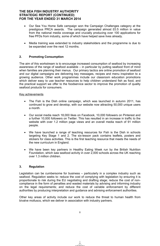- Our Sea You Home Safe campaign won the Campaign Challenges category at the prestigious PRCA awards. The campaign generated almost £0.5 million in value from the national media coverage and crucially producing over 100 applications for free PFDs from industry, some of which have helped save lives already.
- Media training was extended to industry stakeholders and the programme is due to be expanded over the next 12 months.

# **2. Promoting Consumption**

The aim of this workstream is to encourage increased consumption of seafood by increasing awareness of the range of seafood available – in particular by putting seafood front of mind when families are planning their menus. Our primary tactics are online promotion of seafood and our digital campaigns are delivering key messages, recipes and menu inspiration to a growing audience. Other work programmes include our classroom education promotions which deliver easy to use teacher resources to help children understand fish as food, and the practical support we offer to the foodservice sector to improve the promotion of quality seafood products for consumers.

#### Key achievements

- The Fish is the Dish online campaign, which was launched in autumn 2011, has continued to grow and develop, with our website now attracting 50,000 unique users a month.
- Our social media reach 18,000 likes on Facebook, 10,000 followers on Pinterest and a further 10,000 followers on Twitter. This has resulted in an increase in traffic to the website with over 1.2 million page views and an overall media reach of 91 million people.
- We have launched a range of teaching resources for Fish is the Dish in schools targeting Key Stage 1 and 2. The six-lesson pack contains leaflets, posters and stickers for class activities. This is the first teaching resource that meets the needs of the new curriculum in England.
- We have been key partners in Healthy Eating Week run by the British Nutrition Foundation, which saw seafood activity in over 2,000 schools across the UK reaching over 1.3 million children.

#### **3. Regulation**

Legislation can be cumbersome for business – particularly in a complex industry such as seafood. Regulation seeks to: reduce the cost of complying with legislation by ensuring it is proportionate to risk during the EU negotiating and drafting stage; reduce the cost of noncompliance in the form of penalties and wasted materials by advising and informing industry on the legal requirements; and reduce the cost of variable enforcement by different authorities by producing interpretation and guidance and advising enforcement authorities.

Other key areas of activity include our work to reduce the threat to human health from bivalve molluscs, which we deliver in association with industry partners.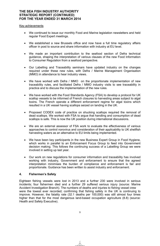#### Key achievements

- We continued to issue our monthly Food and Marine legislation newsletters and held regular Food Expert meetings.
- We established a new Brussels office and now have a full time regulatory affairs officer in post to source and share information with industry at EU level.
- We made an important contribution to the seafood section of Defra technical guidance, shaping the interpretation of various clauses of the new Food Information to Consumer Regulation from a seafood perspective.
- Our Labelling and Traceability seminars have updated industry on the changes required under these new rules, with Defra / Marine Management Organisation (MMO) in attendance to hear industry views.
- We have worked with Defra / MMO on the proportionate implementation of new traceabiltiy rules, and facilitated Defra / MMO industry visits to see traceability in practice and to discuss the implementation of the new rules.
- We have worked with the Food Standards Agency (FSA) to develop a protocol for UK scallop vessels to be informed of French closures to harvesting areas subject to algal toxins. The French operate a different enforcement regime for algal toxins which resulted in a UK vessel having scallops seized on landing in the UK.
- Proposed CODEX code of practice on shucking scallops required the removal of dead scallops. We worked with FSA to argue that handling and consumption of dead scallops is safe. This is now the UK position during international discussions.
- We are an external assessor of FSA work to evaluate the effectiveness of various approaches to control norovirus and consideration of their applicability to UK shellfish harvesting waters as an alternative to EU limits being implemented.
- We have been key participants in the new Business Expert Group in Food Hygiene, which works in parallel to an Enforcement Focus Group to feed into Government decision making. This follows the continuing success of a Labelling Group we were involved in setting up last year.
- Our work on new regulations for consumer information and traceability has involved working with industry, Government and enforcement to ensure that the agreed interpretation minimises the burden of compliance and enforcement is fair and proportionate. Guidance has been written to assist industry and enforcement.

#### **4. Fishermen's Safety**

Eighteen fishing vessels were lost in 2013 and a further 230 were involved in serious incidents; four fishermen died and a further 29 suffered serious injury (source: Marine Accident Investigation Branch). The numbers of deaths and injuries to fishing vessel crew were the lowest ever recorded; confirming that fishing safety in the UK is continuing to improve. However, the fatality rate (32.1 deaths per 100,000) was still almost four times higher than that for the most dangerous land-based occupation agriculture (8.8) (source: Health and Safety Executive).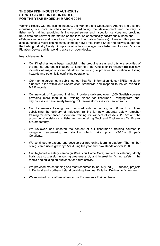Working closely with the fishing industry, the Maritime and Coastguard Agency and offshore industries, our core activities remain coordinating the development and delivery of fishermen's training, providing fishing vessel survey and inspection services and providing up-to-date and relevant information on the location of potentially hazardous subsea and offshore structures and operations (Kingfisher Information Services). However, this year we also launched a major fishing safety campaign (Sea You Home Safe) and actively supported the Fishing Industry Safety Group's initiative to encourage more fishermen to wear Personal Flotation Devices whilst working at sea on open decks.

#### Key achievements

- Our Kingfisher team began publicising the dredging areas and offshore activities of the marine aggregate industry to fishermen; the Kingfisher Fortnightly Bulletin now includes all major offshore industries, continuing to promote the location of fishing hazards and potentially conflicting operations.
- Our marine survey team published four Sea Fish Information Notes (SFINs) to clarify / update rules within our Construction Standards and respond to issues raised in MAIB reports.
- Our network of Approved Training Providers delivered over 1,000 Seafish courses providing more than 9,000 training places for fishermen – ranging from oneday courses in basic safety training to three-week courses for new entrants.
- Our fishermen's training team secured external funding of £0.5m to continue subsidising the delivery of induction training for new entrants; safety refresher training for experienced fishermen; training for skippers of vessels <16.5m and the provision of assistance to fishermen undertaking Deck and Engineering Certificates of Competency.
- We reviewed and updated the content of our fishermen's training courses in navigation, engineering and stability, which make up our <16.5m Skipper's Certificate.
- We continued to expand and develop our free online learning platform. The number of registered users grew by 25% during the year and now stands at over 2,500.
- Our high-profile safety campaign (Sea You Home Safe) fronted by celebrity Monty Halls was successful in raising awareness of, and interest in, fishing safety in the media and building an audience for future activity.
- We provided match funding and staff resources to industry-led (EFF-funded) projects in England and Northern Ireland providing Personal Flotation Devices to fishermen.
- We recruited two staff members to our Fishermen's Training team.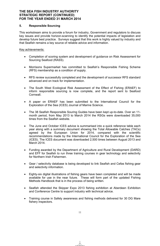## **5. Responsible Sourcing**

This workstream aims to provide a forum for industry, Government and regulators to discuss key issues and provide horizon-scanning to identify the potential impacts of legislation and develop future best practice. Surveys suggest that this work is highly valued by industry and that Seafish remains a key source of reliable advice and information.

#### Key achievements:

- Completion of scoring system and development of guidance on Risk Assessment for Sourcing Seafood (RASS).
- Morrisons Supermarket has committed to Seafish's Responsible Fishing Scheme (RFS) membership as a condition of supply.
- RFS review successfully completed and the development of successor RFS standard advanced and on track for implementation.
- The South West Ecological Risk Assessment of the Effect of Fishing (ERAEF) to inform responsible sourcing is now complete, and the report sent to Seafood **Cornwall**
- A paper on ERAEF has been submitted to the International Council for the Exploration of the Sea (ICES) Journal of Marine Science.
- The 38 Seafish Responsible Souring Guides have been kept up-to-date. Over an 11 month period, from May 2013 to March 2014 the RSGs were downloaded 35,000 times from the Seafish website.
- The June and October ICES advice is summarised into a quick reference table each year along with a summary document showing the Total Allowable Catches (TACs) agreed by the European Union for 2014, compared with the scientific recommendations made by the International Council for the Exploration of the Sea (ICES). The ICES document was downloaded 2,500 times between August 2013 and March 2014.
- Funding awarded by the Department of Agriculture and Rural Development (DARD) and EFF for Seafish to run three training courses in gear technology and selectivity for Northern Irish Fishermen.
- Gear / selectivity database is being developed to link Seafish and Cefas fishing gear and selectivity information.
- Eighty-six digital illustrations of fishing gears have been completed and will be made available for use in the near future. These will form part of the updated Fishing Methods Handbook that is in the process of being written.
- Seafish attended the Skipper Expo 2013 fishing exhibition at Aberdeen Exhibition and Conference Centre to support industry with technical advice.
- Training course in Safety awareness and fishing methods delivered for 30 DG Mare fishery inspectors.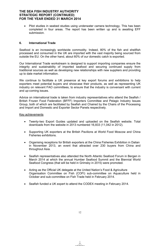• Pilot studies in seabed studies using underwater camera technology. This has been completed in four areas. The report has been written up and is awaiting EFF submission.

#### **6. International Trade**

Seafood is an increasingly worldwide commodity. Indeed, 80% of the fish and shellfish processed and consumed in the UK are imported with the vast majority being sourced from outside the EU. On the other hand, about 60% of our domestic catch is exported.

Our International Trade workstream is designed to support importing companies ensure the integrity and sustainability of imported seafood and securing continued supply from traditional sources as well as developing new relationships with new suppliers and providing up to date market information.

We continue to facilitate a UK presence at key export forums and exhibitions to help exporters meet potential buyers and showcase their products, as well as representing UK industry on relevant FAO committees, to ensure that the industry is conversant with current and up-coming issues.

Advice on international trade is taken from industry representatives who attend the Seafish / British Frozen Food Federation (BFFF) Importers Committee and Pelagic Industry Issues Group, both of which are facilitated by Seafish and Chaired by the Chairs of the Processing and Import and Domestic and Exporter Sector Panels respectively.

#### Key achievements

- Twenty-two Export Guides updated and uploaded on the Seafish website. Total downloads from the website in 2013 numbered 16,833 (11,042 in 2012).
- Supporting UK exporters at the British Pavilions at World Food Moscow and China Fisheries exhibitions.
- Organising receptions for British exporters at the China Fisheries Exhibition in Dalian in November 2013, an event that attracted over 230 buyers from China and throughout Asia.
- Seafish representatives also attended the North Atlantic Seafood Forum in Bergen in March 2014 at which the annual Humber Seafood Summit and the Biennial World Seafood Congress (that will be held in Grimsby in 2015) were promoted.
- Acting as the Official UK delegate at the United Nation's Food & Agriculture Organisation Committee on Fish (COFI) sub-committee on Aquaculture held in October and sub-committee on Fish Trade held in February 2014.
- Seafish funded a UK expert to attend the CODEX meeting in February 2014.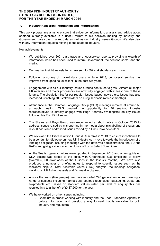#### **7. Industry Research: Information and Interpretation**

This work programme aims to ensure that evidence, information, analysis and advice about seafood is freely available in a useful format to aid decision making by industry and Government. We cover market data as well as our Industry Issues Groups. We also deal with any information requests relating to the seafood industry.

#### Key achievements:

- We published over 200 retail, trade and foodservice reports, providing a wealth of information which has been used to inform Government, the seafood sector and the media.
- Our 'market insight' newsletter is now sent to 502 stakeholders each month.
- Following a survey of market data users in June 2013, our overall service has improved from 'good' to 'excellent' in the past two years.
- Engagement with all our Industry Issues Groups continues to grow. Almost all major UK retailers and major processors are now fully engaged with at least one of these forums. The circulation list for our regular 'issues-based' news alerts issues has also increased, reaching 700 stakeholders on a regular basis (at least monthly).
- Attendance at the Common Language Group (CLG) meetings remains at around 50 at each meeting. CLG created the opportunity for 40 seafood industry representatives to directly engage with Hugh Fearnley-Whittingstall on key issues following his Fish Fight series.
- The Skates and Rays Group was re-convened at short notice in October 2013 to address issues raised by misreporting in the media about mislabelling of skates and rays. It has since addressed issues raised by a One Show news item.
- We reviewed the Discard Action Group (DAG) remit in 2013 to ensure it continues to be a conduit for dialogue on how UK industry can move towards the introduction of a landings obligation including meetings with the devolved administrations, the EU, the RACs and giving evidence to the House of Lords Select Committee.
- All the Seafish generic guides were updated in September 2013 and a new guide on DNA testing was added to the suite, with Greenhouse Gas emissions to follow (overall 5,000 downloads of the Guides in the last six months). We have also produced a number of briefing notes to respond to specific issues such as the mackerel dispute, Total Allowable Catch (TAC) analysis, the landings obligation, working on UK fishing vessels and fishmeal in pig feed.
- Across the team (five people), we have recorded 298 general enquiries covering a range of subjects including market data, seafood technology, packaging, waste and by-products etc. Based on standard values rated per level of enquiry this has resulted in a total benefit of £437,500 for the year.
- We have worked on other issues including:
	- $\circ$  Cadmium in crabs; working with industry and the Food Standards Agency to collate information and develop a way forward that is workable for both industry and regulators.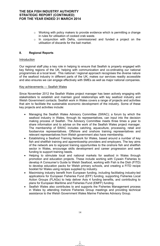- o Working with policy makers to provide evidence which is permitting a change in rules for utilisation of cooked crab waste.
- $\circ$  In conjunction with Defra, commissioned and funded a project on the utilisation of discards for the bait market.

# **8. Regional Reports**

#### Introduction

Our regional staff play a key role in helping to ensure that Seafish is properly engaged with key fishing regions of the UK, helping with communication and co-ordinating our national programmes at a local level. This national / regional approach recognises the diverse nature of the seafood industry in different parts of the UK; makes our services readily accessible and also ensures we can engage effectively with SMEs as well as major national companies.

#### Key achievements — Seafish Wales

Since November 2012 the Seafish Wales project manager has been actively engaging with stakeholders to establish and maintain good relationships with key seafood industry and Welsh Government contacts. Seafish work in Wales covers a range of projects and activities that aim to facilitate the sustainable economic development of the industry. Some of these key projects and activities include:

- Managing the Seafish Wales Advisory Committee (SWAC); a forum by which the seafood industry in Wales, through its representatives, can input into the decision making process of Seafish. The Advisory Committee meets three times a year to share information and to advise on the work of the Seafish Wales project manager. The membership of SWAC includes catching, aquaculture, processing, retail and foodservice representatives. Offshore and onshore training representatives and relevant representatives from Welsh government also have membership.
- Establishing a Seafood Training Network for Wales, based around a number of key fish and shellfish training and apprenticeship providers and employers. The key aims of the network are to signpost training opportunities to the onshore fish and shellfish sector in Wales, encourage skills development and career progression and seek funding to support training needs.
- Helping to stimulate local and national markets for seafood in Wales through promotion and education projects. These include working with Cywain Fisheries to develop A Consumer's Guide to Welsh Seafood, working with Fish is the Dish (FITD) to develop education packs for Welsh primary schools, and creating a FITD recipe booklet for Wales using recipes supplied by industry.
- Maximising industry benefit from European funding, including facilitating industry-led applications for European Fisheries Fund (EFF) funding, supporting Fisheries Local Action Groups (FLAGs) to help deliver Axis 4 funding benefits, and contributing to plans for European Maritime and Fisheries Fund (EMFF) funding.
- Seafish Wales also contributes to and supports the Fisheries Management process in Wales by attending Inshore Fisheries Group meetings and providing technical assistance to the Welsh Government Wales Marine Fisheries Advisory Group.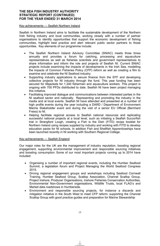#### Key achievements — Seafish Northern Ireland

Seafish in Northern Ireland aims to facilitate the sustainable development of the Northern Irish fishing industry and local communities, working closely with a number of partner organisations to identify opportunities that support the economic development of fishing communities, highlight best practice and alert relevant public sector partners to those opportunities. Key elements of our programme include:

- The Seafish Northern Ireland Advisory Committee (SNIAC) meets three times annually and provides a forum for catching, processing and aquaculture representatives as well as fisheries scientists and government representatives to share information and inform the role and projects of Seafish NI. Current SNIAC projects include examining the impacts of developments in the Irish Sea, modelling the impacts of Common Fisheries Policy (CFP) reform as well as creating a film to examine and celebrate the NI Seafood industry.
- Supporting industry applications to secure finance from the EFF and developing collective projects for NI industry through the fund. This year funding has been secured for lifejackets for 1,340 fishermen and aquaculture workers. This project is ongoing with 700 PFDs distributed to date. Seafish NI have been project managing this initiative.
- Facilitating improved dialogue and communications between interested parties in the NI seafood sector and nationally. Representing and promoting the industry in the media and at local events. Seafish NI have attended and presented at a number of high profile events during the year including a DARD / Department of Environment Marine Stakeholder event and during the visit of a senior EU Official (Bernhard Freiss) to NI.
- Helping facilitate regional access to Seafish national resources and replicating successful national projects at a local level, such as initiating a Seafish Succorfish trial in Strangford Lough, creating a Fish is the Dish (FITD) recipe booklet for Northern Ireland using recipes supplied by industry and working with FITD to develop education packs for NI schools. In addition Fish and Shellfish Apprenticeships have been launched recently in NI working with Southern Regional College.

#### Key achievements — Seafish England

Our major roles for the UK are the management of industry reputation, boosting regional engagement, supporting environmental improvement and responsible sourcing initiatives and boosting consumption. Some of our most important projects running up to 2014 have included:

- Organising a number of important regional events, including the Humber Seafood Summit, a legislation forum and Project Managing the World Seafood Congress 2015.
- Driving regional engagement groups and workshops including Seafood Cornwall Training, Humber Seafood Group, Scallop Association, Channel Scallop Group, Project Inshore, Producer Organisations, Inshore Fisheries Conservation Authorities, Environmental Non-Government organisations, Wildlife Trusts, local FLAG's and Market data roadshows in Humberside.
- Environment and responsible sourcing projects, for instance a discards and mitigation initiative in the South West to meet CFP reform; supporting the Channel Scallop Group with good practice guides and preparation for Marine Stewardship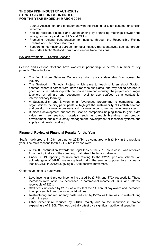Council Assessment and engagement with the 'Fishing for Litter' scheme for English fishermen.

- Helping facilitate dialogue and understanding by organising meetings between the fishing community and their MPs and MEPs.
- Promoting regional best practice, for instance through the Responsible Fishing Scheme and Technical Gear trials.
- Supporting international outreach for local industry representatives, such as through the North Atlantic Seafood Forum and various trade missions.

#### Key achievements — Seafish Scotland

Seafish and Seafood Scotland have worked in partnership to deliver a number of key projects. These include:

- The first Inshore Fisheries Conference which attracts delegates from across the industry.
- The Seafood in Schools Project, which aims to teach children about Scottish seafood: where it comes from, how it reaches our plates, and why eating seafood is good for us. In partnership with the Scottish seafood industry, the project encourages teachers at primary and secondary level to use seafood as a context for interdisciplinary learning.
- A Sustainability and Environmental Awareness programme to companies and organisations, helping participants to highlight the sustainability of Scottish seafood and develop business to business and business to consumer marketing messages.
- Business development support for Scottish companies helping them to gain extra value from raw seafood materials, such as through branding, new product development, chain of custody management, development of technical systems and supply chain match making.

# **Financial Review of Financial Results for the Year**

Seafish delivered a £1.58m surplus for 2013/14, as compared with £184k in the previous year. The main reasons for this £1.396m increase were:

- A £400k contribution towards the legal fees of the 2010 court case was received from the liquidators of the company that raised the legal challenge.
- Under IAS19 reporting requirements relating to the WYPF pension scheme, an actuarial gain of £491k was recognised during the year as opposed to an actuarial loss of £213k in 2012/13, giving a £704k positive movement.

Other movements to note were:

- Levy income and project income increased by £174k and £72k respectfully. These increases were offset by decreases in commercial income of £39k, and interest receivable of £25k.
- Staff costs increased by £181k as a result of the 1% annual pay award and increases in employers' N.I. and pension contributions.
- Restructuring and redundancy costs reduced by £225k as there was no restructuring during the year.
- Other expenditure reduced by £131k, mainly due to the reduction in project expenditure of £190k. This was partially offset by a significant additional spend in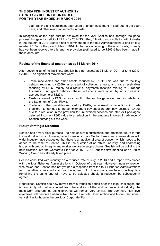staff training and recruitment after years of under investment in staff due to the court case, and other minor movements in costs.

In recognition of the high surplus achieved for the year Seafish has, through the panel process, budgeted a deficit of £1.2m for 2014/15. Also, following a consultation with industry in the autumn of 2013, Seafish has recommended to the four Administrations a one off levy rebate of 10% for the year to March 2014. At the date of signing of these accounts, no reply has yet been received to this and no provision (estimated to be £803k) has been made in these accounts.

# **Review of the financial position as at 31 March 2014**

After covering all of its liabilities, Seafish had net assets at 31 March 2014 of £4m (2013: £2.4m). The significant movements were:

- Trade receivables and other assets reduced by £705k. This was due to the levy debtors reducing by £369k as a result of collecting arrears, and trade receivables reducing by £505k mainly as a result of payments received relating to European Fisheries Fund grant debtors. These reductions were offset by an increase in accrued income of £127k.
- Cash increased by £1.355m as a result of the surplus generated and as detailed in the Statement of Cash Flows.
- Trade and other payables reduced by £946k, as a result of reductions in: trade creditors - £156k due to the commitment to pay suppliers promptly: accruals - £409k due to a reduction in the provision for un-invoiced services and staff exit packages: deferred income - £363k due to a reduction in the amounts invoiced in advance of Seafish carrying out the work.

# **Future Strategic Direction**

Seafish has a very clear purpose – to help secure a sustainable and profitable future for the UK seafood industry. However, recent meetings of our Sector Panels and conversations with wider industry have suggested that there is an additional area of concern which needs to be added to the remit of Seafish. This is the question of an ethical industry, and addressing issues with product integrity and worker welfare in supply chains. Seafish will be building this new direction into the Corporate Plan for 2015 – 2018, but the first meeting of an Ethics Working Group has already taken place.

Seafish consulted with industry on a reduced rate of levy in 2013 and a report was placed with the four Fisheries Administrations in October of that year. However, industry reaction was mixed and Seafish has not yet had a response from the four Fisheries Administrations as to whether a levy reduction will be agreed. Our future plans are based on levy take remaining the same and will have to be adjusted should a reduction be subsequently agreed.

Regardless, Seafish has now moved from a transition period after the legal challenges and is now firmly into delivery. Apart from the addition of the work on an ethical industry, the main work programmes going forwards will remain very similar. The summary high level objectives will become Enhance Reputation, Promote Consumption and Inform Decisions very similar to those in the previous Corporate Plan.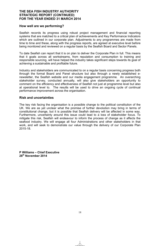#### **How well are we performing?**

Seafish records its progress using robust project management and financial reporting systems that are matched to a critical plan of achievements and Key Performance Indicators which are outlined in our corporate plan. Adjustments to any programmes are made from time to time and these, along with the progress reports, are agreed at executive level before being monitored and reviewed on a regular basis by the Seafish Board and Sector Panels.

To date Seafish can report that it is on plan to deliver the Corporate Plan in full. This means that it goals across all workstreams, from reputation and consumption to training and responsible sourcing, will have helped the industry takes significant steps towards its goal of achieving a sustainable and profitable future.

Industry and stakeholders are communicated to on a regular basis concerning progress both through the formal Board and Panel structure but also through a newly established enewsletter, the Seafish website and our media engagement programme. An overarching stakeholder survey, conducted annually, will also give stakeholders an opportunity to comment on the efficiency and effectiveness of Seafish not just at programme level but also at operational level to. The results will be used to drive an ongoing cycle of continual performance improvement across the organisation.

# **Risk and uncertainties**

The key risk facing the organisation is a possible change to the political constitution of the UK. We are as yet unclear what the promise of further devolution may bring in terms of constitutional change, but it is possible that Seafish delivery will be affected in some way. Furthermore, uncertainty around this issue could lead to a loss of stakeholder focus. To mitigate this risk, Seafish will endeavour to inform the process of change as it affects the seafood industry. We will engage all four Administrations and other stakeholders in that work, and will seek to demonstrate our value through the delivery of our Corporate Plan 2015-18.

**P Williams – Chief Executive 28th November 2014**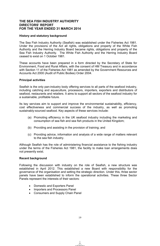#### **History and statutory background**

The Sea Fish Industry Authority (Seafish) was established under the Fisheries Act 1981. Under the provisions of the Act all rights, obligations and property of the White Fish Authority and the Herring Industry Board became rights, obligations and property of the Sea Fish Industry Authority. The White Fish Authority and the Herring Industry Board ceased to exist on 1 October 1981.

These accounts have been prepared in a form directed by the Secretary of State for Environment, Food and Rural Affairs, with the consent of HM Treasury and in accordance with Section 11 of the Fisheries Act 1981 as amended by the Government Resources and Accounts Act 2000 (Audit of Public Bodies) Order 2004.

#### **Principal activities**

Seafish is the only pan-industry body offering services to all parts of the seafood industry, including catching and aquaculture, processors, importers, exporters and distributors of seafood, restaurants and retailers. It aims to support all sectors of the seafood industry for a sustainable, profitable future.

Its key services aim to support and improve the environmental sustainability, efficiency, cost effectiveness and commercial success of the industry, as well as promoting sustainably-sourced seafood. Key aspects of these services include:

- (a) Promoting efficiency in the UK seafood industry including the marketing and consumption of sea fish and sea fish products in the United Kingdom;
- (b) Providing and assisting in the provision of training; and
- (c) Providing advice, information and analysis of a wide range of matters relevant to the sea fish industry.

Although Seafish has the role of administering financial assistance to the fishing industry under the terms of the Fisheries Act 1981, the facility to make loan arrangements does not presently exist.

#### **Recent background**

Following the discussion with industry on the role of Seafish, a new structure was established in April 2012. This established a new Board with responsibility for the governance of the organisation and setting the strategic direction. Under this, three sector panels have been established to inform the operational activities. These three Sector Panels represent the interests of their sectors:

- Domestic and Exporters Panel
- Importers and Processors Panel
- Consumers and Supply Chain Panel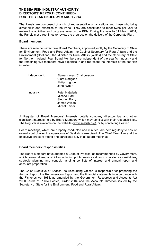The Panels are composed of a mix of representative organisations and those who bring direct skills and expertise to the Panel. They are constituted to meet twice per year to review the activities and progress towards the KPIs. During the year to 31 March 2014, the Panels met three times to review the progress on the delivery of the Corporate Plan.

#### **Board members**

There are nine non-executive Board Members, appointed jointly by the Secretary of State for Environment, Food and Rural Affairs, the Cabinet Secretary for Rural Affairs and the Environment (Scotland), the Minister for Rural Affairs (Wales) and the Secretary of State for Northern Ireland. Four Board Members are independent of the sea fish industry and the remaining five members have expertise in and represent the interests of the sea fish industry.

| Independent: | Elaine Hayes (Chairperson)<br>Clare Dodgson<br>Philip Huggon<br>Jane Ryder                              |
|--------------|---------------------------------------------------------------------------------------------------------|
| Industry:    | Peter Hajipieris<br><b>Michael Park</b><br><b>Stephen Parry</b><br>James Wilson<br><b>Michel Kaiser</b> |

A Register of Board Members' Interests details company directorships and other significant interests held by Board Members which may conflict with their responsibilities. The Register is available on the website (www.seafish.org), or by contacting Seafish.

Board meetings, which are properly conducted and minuted, are held regularly to ensure overall control over the operations of Seafish is exercised. The Chief Executive and the executive directors attend and participate fully in all Board meetings.

#### **Board members' responsibilities**

The Board Members have adopted a Code of Practice, as recommended by Government, which covers all responsibilities including public service values, corporate responsibilities, strategic planning and control, handling conflicts of interest and annual report and accounts preparation.

The Chief Executive of Seafish, as Accounting Officer, is responsible for preparing the Annual Report, the Remuneration Report and the financial statements in accordance with the Fisheries Act 1981, as amended by the Government Resources and Accounts Act 2000 (Audit of Public Bodies) Order 2004 and the Accounts Direction issued by the Secretary of State for the Environment, Food and Rural Affairs.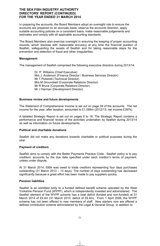In preparing the accounts, the Board Members adopt an oversight role to ensure the accounts are prepared on an accruals basis, observe the accounts direction, apply suitable accounting policies on a consistent basis, make reasonable judgements and estimates and comply with all applicable accounting standards.

The Board Members also exercise oversight in ensuring the keeping of proper accounting records, which disclose with reasonable accuracy at any time the financial position of Seafish, safeguarding the assets of Seafish and for taking reasonable steps for the prevention and detection of fraud and other irregularities.

#### **Management**

The management of Seafish comprised the following executive directors during 2013/14:

Dr. P. Williams (Chief Executive) Mrs J. Anderson (Finance Director / Business Services Director) Mr T Pickerell (Technical Director) Mrs M Groundsell (Corporate Relations Director) Mr R Bruce (Corporate Relations Director) Mr J Harman (Development Director)

#### **Business review and future developments**

The Statement of Comprehensive Income is set out on page 39 of the accounts. The net income for the year, after taxation, amounted to £1.089m (2012/13: net income £397k).

A detailed Strategic Report is set out on pages 6 to 18. The Strategic Report contains a performance and financial review of the activities undertaken by Seafish during 2013/14 as well as information on future developments.

#### **Political and charitable donations**

Seafish did not make any donations towards charitable or political purposes during the year.

#### **Payment of creditors**

Seafish aims to comply with the Better Payments Practice Code. Seafish policy is to pay creditors' accounts by the due date specified under each creditor's terms of payment, unless under dispute.

At 31 March 2014, £60k was owed to trade creditors representing four days purchases outstanding (31 March 2013 – 13 days). The number of days outstanding has decreased significantly because a great effort has been made to pay suppliers quickly.

#### **Pension liabilities**

Seafish is an admitted body to a funded defined benefit scheme operated by the West Yorkshire Pension Fund (WYPF), which is independently invested and administered. The Seafish element of the WYPF scheme has a total deficit (funded and non-funded) at 31 March 2014 of £9.4m (31 March 2013: deficit of £9.4m). From 1 April 2006, the WYPF scheme has not been offered to new members of staff. New starters now are offered a defined contribution scheme administered by the Legal & General Group. In addition to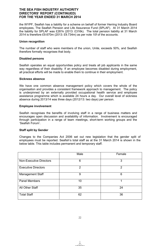the WYPF, Seafish has a liability for a scheme on behalf of former Herring Industry Board employees, The Seafish Pension and Life Assurance Fund (SPLAF). At 31 March 2014 the liability for SPLAF was £281k (2013: £316k). The total pension liability at 31 March 2014 is therefore £9.670m (2013: £9.734m) as per note 10f of the accounts.

#### **Union recognition**

The number of staff who were members of the union, Unite, exceeds 50%, and Seafish therefore formally recognises that body.

#### **Disabled persons**

Seafish operates an equal opportunities policy and treats all job applicants in the same way regardless of their disability. If an employee becomes disabled during employment, all practical efforts will be made to enable them to continue in their employment.

#### **Sickness absence**

We have one common absence management policy which covers the whole of the organisation and provides a consistent framework approach to management. The policy is underpinned by an externally provided occupational health service and employee assistance programme which is available 24 hours a day. Our overall level of sickness absence during 2013/14 was three days (2012/13: two days) per person.

#### **Employee involvement**

Seafish recognises the benefits of involving staff in a range of business matters and encourages open discussion and availability of information. Involvement is encouraged through participation in a range of team meetings, short-term working groups and the 'Seafish Forum'.

#### **Staff split by Gender**

Changes to the Companies Act 2006 set out new legislation that the gender split of employees must be reported. Seafish's total staff as at the 31 March 2014 is shown in the below table. This table includes permanent and temporary staff.

|                                | Male           | Female |
|--------------------------------|----------------|--------|
| <b>Non-Executive Directors</b> | 6              | 3      |
| <b>Executive Directors</b>     | $\mathfrak{p}$ | 2      |
| <b>Management Staff</b>        | 9              | 6      |
| <b>Panel Members</b>           | 10             |        |
| All Other Staff                | 35             | 24     |
| <b>Total Staff</b>             | 62             | 36     |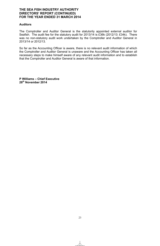## **Auditors**

The Comptroller and Auditor General is the statutorily appointed external auditor for Seafish. The audit fee for the statutory audit for 2013/14 is £36k (2012/13: £34k). There was no non-statutory audit work undertaken by the Comptroller and Auditor General in 2013/14 or 2012/13.

So far as the Accounting Officer is aware, there is no relevant audit information of which the Comptroller and Auditor General is unaware and the Accounting Officer has taken all necessary steps to make himself aware of any relevant audit information and to establish that the Comptroller and Auditor General is aware of that information.

**P Williams – Chief Executive 28th November 2014**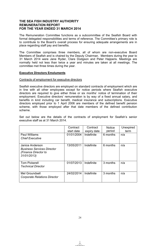The Remuneration Committee functions as a subcommittee of the Seafish Board with formal delegated responsibilities and terms of reference. The Committee's primary role is to contribute to the Board's overall process for ensuring adequate arrangements are in place regarding staff pay and benefits.

The Committee comprises three members, all of whom are non-executive Board Members of Seafish and is chaired by the Deputy Chairman. Members during the year to 31 March 2014 were Jane Ryder, Clare Dodgson and Peter Hajiperis. Meetings are normally held not less than twice a year and minutes are taken at all meetings. The committee met three times during the year.

#### **Executive Directors Emoluments**

#### Contracts of employment for executive directors

Seafish executive directors are employed on standard contracts of employment which are in line with all other employees except for notice periods where Seafish executive directors are required to give either three or six months' notice of termination of their employment. Executive directors' remuneration is by way of a fixed annual salary, and benefits in kind including car benefit, medical insurance and subscriptions. Executive directors employed prior to 1 April 2006 are members of the defined benefit pension scheme, with those employed after that date members of the defined contribution scheme.

Set out below are the details of the contracts of employment for Seafish's senior executive staff as at 31 March 2014.

|                                                                                             | Contract   | Contract    | <b>Notice</b> | Unexpired |
|---------------------------------------------------------------------------------------------|------------|-------------|---------------|-----------|
|                                                                                             | start date | expiry date | period        | term      |
| Paul Williams<br><b>Chief Executive</b>                                                     | 01/01/2004 | Indefinite  | 6 months      | n/a       |
| Janice Anderson<br><b>Business Services Director</b><br>(Finance Director to<br>31/01/2013) | 13/05/2011 | Indefinite  | 6 months      | n/a       |
| <b>Tom Pickerell</b><br><b>Technical Director</b>                                           | 01/07/2013 | Indefinite  | 3 months      | n/a       |
| Mel Groundsell<br><b>Corporate Relations Director</b>                                       | 24/02/2014 | Indefinite  | 3 months      | n/a       |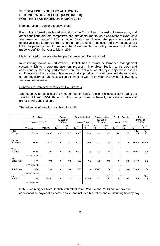#### Remuneration of senior executive staff

Pay policy is formally reviewed annually by the Committee. In seeking to ensure pay and other conditions are fair, competitive and affordable, market data and other relevant data are taken into account. Like all other Seafish employees, the pay associated with executive posts is derived from a formal job evaluation process, and pay increases are linked to performance. In line with the Governments pay policy, an award of 1% was made to staff for the year to March 2014.

#### Methods used to assess whether performance conditions are met

In assessing individual performance, Seafish has a formal performance management system which is a core management process. It enables Seafish to be clear and consistent in focusing performance on the delivery of strategic objectives; assess contribution and recognise achievement and support and inform personal development, career development and succession planning as well as provide for growth of knowledge, skills and experience.

#### Contracts of employment for executive directors

Set out below are details of the remuneration of Seafish's senior executive staff during the year to 31 March 2014. Benefits in kind compromise car benefit, medical insurance and professional subscriptions.

|                    | <b>Basic Salary</b>       |         |                      | <b>Bonus</b><br>Benefits in Kind |                | Compensation |                      | <b>Pension Benefit</b> |                | Total          |                      |                |
|--------------------|---------------------------|---------|----------------------|----------------------------------|----------------|--------------|----------------------|------------------------|----------------|----------------|----------------------|----------------|
|                    | (Bands of £5,000)         |         | (Bands of<br>£5,000) |                                  | (Nearest £100) |              | (Bands of<br>£5,000) |                        | (Nearest £000) |                | (Bands of<br>£5,000) |                |
|                    | 2013-14                   | 2012-13 | 2013-<br>14          | 2012-<br>13                      | 2013-<br>14    | 2012-<br>13  | $2013 -$<br>14       | 2012-<br>13            | $2013 -$<br>14 | 2012-<br>13    | 2013-<br>14          | 2012-<br>13    |
| Paul<br>Williams   | 95-100                    | 90-95   | $0-5$                | $5 - 10$                         | 4,000          | 2,700        | n/a                  | n/a                    | 20             | 23             | $120 -$<br>125       | $125 -$<br>130 |
| Janice<br>Anderson | 80-85                     | 70-75   | $\mathbf 0$          | $0-5$                            | 3,400          | 3,200        | n/a                  | n/a                    | 8              | $\overline{7}$ | 90-95                | 85-90          |
| Tom<br>Pickerell   | 50-55<br>(FYE: 70-75)     | n/a     | $\mathbf 0$          | n/a                              | 5,300          | n/a          | n/a                  | n/a                    | 2              | n/a            | 60-65                | n/a            |
| Mel<br>Groundsell  | $5 - 10$<br>(FYE: 65-70)  | n/a     | $\mathbf 0$          | n/a                              | 400            | n/a          | n/a                  | n/a                    | 0              | n/a            | $5 - 10$             | n/a            |
| Rob Bruce          | $15 - 20$<br>(FYE: 75-80) | n/a     | 0                    | n/a                              | 900            | n/a          | $10 - 15$            | n/a                    | 2              | n/a            | $35 - 40$            | n/a            |
| Jon<br>Harman      | $0-5$<br>(FYE: 90-95)     | 90-95   | 0                    | 0                                | 100            | 6,100        | n/a                  | 285-<br>290            | 0              | 41             | $0-5$                | 425-<br>430    |

The following information is subject to audit:

Rob Bruce resigned from Seafish with effect from 22nd October 2013 and received a compensation payment as noted above that included his notice and outstanding holiday pay.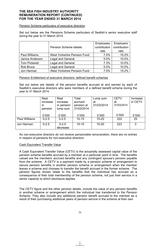#### Pension Scheme particulars of executive directors

Set out below are the Pensions Scheme particulars of Seafish's senior executive staff during the year to 31 March 2014.

|                      |                                    | <b>Employees</b> | <b>Employers</b> |
|----------------------|------------------------------------|------------------|------------------|
|                      | <b>Pension Scheme details</b>      | contribution     | contribution     |
|                      |                                    | rate             | rate             |
| <b>Paul Williams</b> | <b>West Yorkshire Pension Fund</b> | 7.5%             | 15.2%            |
| Janice Anderson      | <b>Legal and General</b>           | 5.0%             | 10.0%            |
| <b>Tom Pickerell</b> | Legal and General                  | 7.3%             | 10.0%            |
| Rob Bruce            | Legal and General                  | 5.0%             | 10.0%            |
| Jon Harman           | <b>West Yorkshire Pension Fund</b> | 7.5%             | 15.2%            |

#### Pension Entitlement of executive directors: defined benefit schemes

Set out below are details of the pension benefits accrued at and earned by each of Seafish's executive directors who were members of a defined benefit scheme during the year to 31 March 2014.

|               | Real<br>increase<br>in.<br>pension | Real<br>increase<br>in pension<br>lump sum | Total<br>accrued<br>pension at<br>31/03/2014 | Lump sum<br>at<br>31/03/2014 | <b>CETV</b><br>at<br>31/03/2014 | Increase<br>in CETV |
|---------------|------------------------------------|--------------------------------------------|----------------------------------------------|------------------------------|---------------------------------|---------------------|
|               | £'000                              | £'000                                      | £'000                                        | £'000                        | £'000                           | £'000               |
| Paul Williams | $0 - 2.5$                          | $0 - 2.5$                                  | $10 - 15$                                    | $15 - 20$                    | 222                             | 25                  |
| Jon Harman    | $0 - 2.5$                          | $0 - 2.5$<br>decrease                      | $10 - 15$                                    | $15 - 20$                    | 223                             | 3                   |

As non-executive directors do not receive pensionable remuneration, there are no entries in respect of pensions for non-executive directors.

#### Cash Equivalent Transfer Value

A Cash Equivalent Transfer Value (CETV) is the actuarially assessed capital value of the pension scheme benefits accrued by a member at a particular point in time. The benefits valued are the members' accrued benefits and any contingent spouse's pension payable from the scheme. A CETV is a payment made by a pension scheme or arrangement to secure pension benefits in another pension scheme or arrangement when the member leaves a scheme and chooses to transfer the benefit accrued in the former scheme. The pension figures shown relate to the benefits that the individual has accrued as a consequence of their total membership of the pension scheme, not just their service in a senior capacity to which disclosure applies.

The CETV figure and the other pension details, include the value of any pension benefits in another scheme or arrangement which the individual has transferred to the Pension Scheme. They also include any additional pension benefit accrued to the member as a result of their purchasing additional years of pension service in the scheme at their own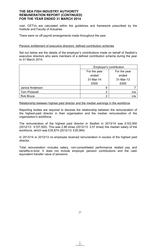cost. CETVs are calculated within the guidelines and framework prescribed by the Institute and Faculty of Actuaries.

There were no off payroll arrangements made throughout the year.

#### Pension entitlement of executive directors: defined contribution schemes

Set out below are the details of the employer's contributions made on behalf of Seafish's executive directors who were members of a defined contribution scheme during the year to 31 March 2014.

|                      | Employer's contribution                                                  |      |  |  |
|----------------------|--------------------------------------------------------------------------|------|--|--|
|                      | For the year<br>For the year<br>ended<br>ended<br>31-Mar-14<br>31-Mar-13 |      |  |  |
|                      |                                                                          |      |  |  |
|                      |                                                                          |      |  |  |
|                      | £000                                                                     | £000 |  |  |
| Janice Anderson      | 8                                                                        |      |  |  |
| <b>Tom Pickerell</b> | っ                                                                        | n/a  |  |  |
| Rob Bruce            | ⌒                                                                        | n/a  |  |  |

#### Relationship between highest paid director and the median earnings in the workforce

Reporting bodies are required to disclose the relationship between the remuneration of the highest-paid director in their organisation and the median remuneration of the organisation's workforce.

The remuneration of the highest paid director in Seafish in 2013/14 was £102,500 (2012/13: £107,500). This was 2.86 times (2012/13: 3.07 times) the median salary of the workforce, which was £35,874 (2012/13: £35,064)

In 2013/14 or 2012/13 no employee received remuneration in excess of the highest paid director.

Total remuneration includes salary, non-consolidated performance related pay and benefits-in-kind. It does not include employer pension contributions and the cash equivalent transfer value of pensions.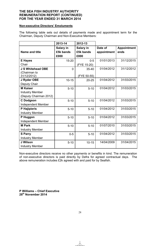#### **Non-executive Directors' Emoluments**

The following table sets out details of payments made and appointment term for the Chairman, Deputy Chairman and Non-Executive Members:

|                           | 2013-14                | 2012-13                |             |                            |
|---------------------------|------------------------|------------------------|-------------|----------------------------|
| <b>Name and title</b>     | Salary in<br>£5k bands | Salary in<br>£5k bands | Date of     | <b>Appointment</b><br>ends |
|                           | £000                   | £000                   | appointment |                            |
| <b>E</b> Hayes            | $15 - 20$              | $0 - 5$                | 01/01/2013  | 31/12/2015                 |
| Chair                     |                        | (FYE 15-20)            |             |                            |
| <b>J S Whitehead OBE</b>  | $\Omega$               | $35 - 40$              | 01/04/2012  | 31/12/2012                 |
| (Chairman to              |                        |                        |             |                            |
| 31/12/2012)               |                        | (FYE 50-55)            |             |                            |
| J Ryder OBE               | $10 - 15$              | $20 - 25$              | 01/04/2012  | 31/03/2015                 |
| Deputy Chair              |                        |                        |             |                            |
| <b>M Kaiser</b>           | $5 - 10$               | $5 - 10$               | 01/04/2012  | 31/03/2015                 |
| <b>Industry Member</b>    |                        |                        |             |                            |
| (Deputy Chairman 2012)    |                        |                        |             |                            |
| <b>C</b> Dodgson          | $5 - 10$               | $5 - 10$               | 01/04/2012  | 31/03/2015                 |
| <b>Independent Member</b> |                        |                        |             |                            |
| P Hajipieris              | $5 - 10$               | $5 - 10$               | 01/04/2012  | 31/03/2015                 |
| <b>Industry Member</b>    |                        |                        |             |                            |
| P Huggon                  | $5 - 10$               | $5 - 10$               | 01/04/2012  | 31/03/2015                 |
| Independent Member        |                        |                        |             |                            |
| <b>M</b> Park             | $5 - 10$               | $5 - 10$               | 01/07/2010  | 31/03/2015                 |
| <b>Industry Member</b>    |                        |                        |             |                            |
| <b>S Parry</b>            | $0 - 5$                | $5 - 10$               | 01/04/2012  | 31/03/2015                 |
| <b>Industry Member</b>    |                        |                        |             |                            |
| J Wilson                  | $5 - 10$               | $10 - 15$              | 14/04/2009  | 31/04/2015                 |
| <b>Industry Member</b>    |                        |                        |             |                            |

Non-executive directors receive no other payments or benefits in kind. The remuneration of non-executive directors is paid directly by Defra for agreed contractual days. The above remuneration includes £2k agreed with and paid for by Seafish.

**P Williams – Chief Executive 28th November 2014**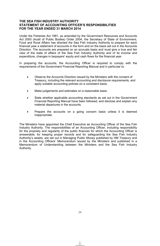# **THE SEA FISH INDUSTRY AUTHORITY STATEMENT OF ACCOUNTING OFFICER'S RESPONSIBILITIES FOR THE YEAR ENDED 31 MARCH 2014**

Under the Fisheries Act 1981, as amended by the Government Resources and Accounts Act 2000 (Audit of Public Bodies) Order 2004, the Secretary of State of Environment, Food and Rural Affairs has directed the Sea Fish Industry Authority to prepare for each financial year a statement of accounts in the form and on the basis set out in the Accounts Direction. The accounts are prepared on an accruals basis and must give a true and fair view of the state of affairs of the Sea Fish Industry Authority and of its income and expenditure, changes in taxpayers' equity and cash flows for the financial year.

In preparing the accounts, the Accounting Officer is required to comply with the requirements of the Government Financial Reporting Manual and in particular to:

- Observe the Accounts Direction issued by the Ministers with the consent of Treasury, including the relevant accounting and disclosure requirements, and apply suitable accounting policies on a consistent basis.
- Make judgements and estimates on a reasonable basis.
- State whether applicable accounting standards as set out in the Government Financial Reporting Manual have been followed, and disclose and explain any material departures in the accounts.
- Prepare the accounts on a going concern basis unless it is deemed inappropriate.

The Ministers have appointed the Chief Executive as Accounting Officer of the Sea Fish Industry Authority. The responsibilities of an Accounting Officer, including responsibility for the propriety and regularity of the public finances for which the Accounting Officer is answerable, for keeping proper records and for safeguarding the Sea Fish Industry Authority's assets, are set out in Managing Public Money published by HM Treasury and in the Accounting Officers' Memorandum issued by the Ministers and published in a Memorandum of Understanding between the Ministers and the Sea Fish Industry Authority.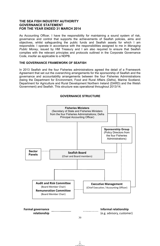As Accounting Officer, I have the responsibility for maintaining a sound system of risk, governance and control that supports the achievements of Seafish policies, aims and objectives, whilst safeguarding the public funds and Seafish assets for which I am responsible. I operate in accordance with the responsibilities assigned to me in *Managing Public Money*, issued by HM Treasury and I am also required to ensure that Seafish complies with the relevant principles and protocols outlined in the Corporate Governance Code, insofar as applicable to a NDPB.

#### **THE GOVERNANCE FRAMEWORK OF SEAFISH**

In 2013 Seafish and the four Fisheries administrations agreed the detail of a Framework Agreement that set out the overarching arrangements for the sponsorship of Seafish and the governance and accountability arrangements between the four Fisheries Administrations (being the Department for Environment, Food and Rural Affairs (Defra), Marine Scotland, Department for Agriculture and Rural Development Northern Ireland (DARD) and the Welsh Government) and Seafish. This structure was operational throughout 2013/14.



#### **GOVERNANCE STRUCTURE**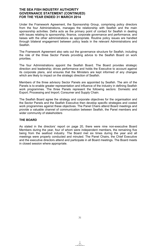Under the Framework Agreement, the Sponsorship Group, comprising policy directors from the four Administrations, manages the relationship with Seafish and the main sponsorship activities. Defra acts as the primary point of contact for Seafish in dealing with issues relating to sponsorship, finance, corporate governance and performance, and liaises with the other administrations as appropriate. Routine policy issues are handled through bilateral engagement between policy leads in the relevant Administrations and Seafish.

The Framework Agreement also sets out the governance structure for Seafish, including the role of the three Sector Panels providing advice to the Seafish Board on work priorities.

The four Administrations appoint the Seafish Board. The Board provides strategic direction and leadership; drives performance and holds the Executive to account against its corporate plans, and ensures that the Ministers are kept informed of any changes which are likely to impact on the strategic direction of Seafish.

Members of the three advisory Sector Panels are appointed by Seafish. The aim of the Panels is to enable greater representation and influence of the industry in defining Seafish work programmes. The three Panels represent the following sectors: Domestic and Export; Processing and Import; Consumer and Supply Chain.

The Seafish Board agree the strategy and corporate objectives for the organisation and the Sector Panels and the Seafish Executive then develop specific strategies and costed work programmes against these objectives. The Panel Chairs attend Board meetings and provide a valuable channel of communication between Seafish, the Panel members and wider community of stakeholders

# **THE BOARD**

As stated in the directors' report on page 20, there were nine non-executive Board Members during the year, four of whom were independent members, the remaining five being from the seafood industry. The Board met six times during the year and all meetings were properly conducted and minuted. The Panel Chairs, the Chief Executive and the executive directors attend and participate in all Board meetings*.* The Board meets in closed session where appropriate.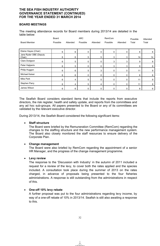# **BOARD MEETINGS**

The meeting attendance records for Board members during 2013/14 are detailed in the table below:

|                                  | Board    |          | <b>ARC</b> |              | RemCom   |          | Possible | Attended |
|----------------------------------|----------|----------|------------|--------------|----------|----------|----------|----------|
| <b>Board Member</b>              | Possible | Attended | Possible   | Attended     | Possible | Attended | Total    | Total    |
|                                  |          |          |            |              |          |          |          |          |
| Elaine Hayes (Chair)             | 6        | 6        | 0          | $\mathbf{0}$ | 0        | 0        | 6        | 6        |
| Jane Ryder OBE (Deputy<br>Chair) | 6        | 6        | 5          | 5            | 3        | 3        | 14       | 14       |
| Clare Dodgson                    | 6        | 5        | 0          | $\mathbf 0$  | 3        | 3        | 9        | 8        |
| Peter Hajiperis                  | 6        | 5        | 0          | 0            | 3        | 3        | 9        | 8        |
| Philip Huggon                    | 6        | 6        | 5          | 3            | 0        | 0        | 11       | 9        |
| Michael Kaiser                   | 6        | 6        | 0          | 0            | 0        | 0        | 6        | 6        |
| Mike Park                        | 6        | 4        | 5          | 5            | 0        | 0        | 11       | 9        |
| Stephen Parry                    | 6        | 4        | 5          | 4            | 0        | 0        | 11       | 8        |
| James Wilson                     | 6        | 6        | 0          | $\Omega$     | 0        | 0        | 6        | 6        |

The Seafish Board considers standard items that include the reports from executive directors, the risk register, health and safety update, and reports from the committees and any ad hoc sub-groups. All papers presented to the Board or any of its committees are validated by the relevant executive director.

During 2013/14, the Seafish Board considered the following significant items:

#### • **Staff structure**

The Board were briefed by the Remuneration Committee (RemCom) regarding the changes to the staffing structure and the new performance management system. The Board also closely monitored the staff resources to ensure delivery of the Corporate Plan.

#### • **Change management**

The Board were also briefed by RemCom regarding the appointment of a senior HR Manager, and the progress of the change management programme.

#### • **Levy review**

The response to the 'Discussion with Industry' in the autumn of 2011 included a request for a review of the levy, to cover both the rates applied and the species included. A consultation took place during the summer of 2013 on the rates charged, in advance of proposals being presented to the four fisheries administrations. A response is still outstanding from the administrations in respect of this.

#### • **One-off 10% levy rebate**

A further proposal was put to the four administrations regarding levy income, by way of a one-off rebate of 10% in 2013/14. Seafish is still also awaiting a response to this.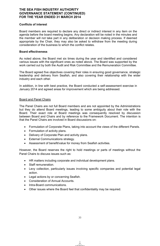## **Conflicts of interest**

Board members are required to declare any direct or indirect interest in any item on the agenda before the board meeting begins. Any declaration will be noted in the minutes and the member will not take part in any deliberation or decision making process. If deemed appropriate by the Chair, they may also be asked to withdraw from the meeting during consideration of the business to which the conflict relates.

#### **Board effectiveness**

As noted above, the Board met six times during the year and identified and considered various issues with the significant ones as noted above. The Board was supported by the work carried out by both the Audit and Risk Committee and the Remuneration Committee.

The Board agreed five objectives covering their roles in ensuring good governance, strategic leadership and delivery from Seafish, and also covering their relationship with the wider industry and each other.

In addition, in line with best practice, the Board conducted a self-assessment exercise in January 2014 and agreed areas for improvement which are being addressed.

#### Board and Panel Chairs

The Panel Chairs are not full Board members and are not appointed by the Administrations but they do attend Board meetings, leading to some ambiguity about their role with the Board. Their exact role at Board meetings was consequently resolved by discussion between Board and Chairs and by reference to the Framework Document. The intention is that the Panel Chairs are involved in Board discussions on:

- Formulation of Corporate Plans, taking into account the views of the different Panels.
- Formulation of activity plans.
- Delivery of Corporate Plan and activity plans.
- External Communications strategy.
- Assessment of benefit/value for money from Seafish activities.

However, the Board reserves the right to hold meetings or parts of meetings without the Panel Chairs to discuss issues such as:

- HR matters including corporate and individual development plans.
- Staff remuneration.
- Levy collection, particularly issues involving specific companies and potential legal action.
- Legal actions by or concerning Seafish.
- Consideration of Annual Accounts.
- Intra-Board communications.
- Other issues where the Board feel that confidentiality may be required.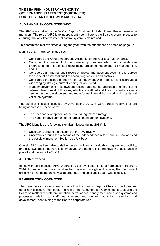# **AUDIT AND RISK COMMITTEE (ARC)**

The ARC was chaired by the Seafish Deputy Chair and included three other non-executive members. The role of ARC is to independently contribute to the Board's overall process for ensuring that an effective internal control system is maintained.

This committee met five times during the year, with the attendance as noted on page 32.

During 2013/14, this committee has:

- Considered the Annual Report and Accounts for the year to 31 March 2013.
- Continued the oversight of the transition programme which saw considerable progress in the areas of staff recruitment, project management, risk management, and IT.
- Considered an internal audit report on project management systems and agreed the scope of an internal audit of accounting systems and controls.
- Considered the scope of Information Management within Seafish and approved a wide ranging strategy, currently being implemented.
- Made improvements in its own operation: agreeing the approach of differentiating between less formal drill downs, which are staff led and likely to identify aspects needing further development, and more formal Internal Audit work which tests and validates systems.

The significant issues identified by ARC during 2012/13 were largely resolved or are being addressed. These were:

- The need for development of the risk management strategy.
- The need for development of the project management systems.

The ARC identified the following significant issues during 2013/14:

- Uncertainty around the outcome of the levy review.
- Uncertainty around the outcome of the independence referendum in Scotland and the possible impact on Seafish as a UK body.

Overall, ARC has been able to deliver on a significant and valuable programme of activity, and acknowledges that there is an improved and more reliable framework of assurance in place for at the end of 2013/14.

#### **ARC effectiveness**

In line with best practice, ARC undertook a self-evaluation of its performance in February 2014. It was felt that the committee had matured throughout the year, that the current skills mix of the membership was appropriate, and concluded that it was effective.

#### **REMUNERATION COMMITTEE**

The Remuneration Committee is chaired by the Seafish Deputy Chair and includes two other non-executive members. The role of the Remuneration Committee is to advise the Board on matters of staff remuneration, performance management and other systems and processes relating to staff management and welfare, attraction, retention and development, contributing to the Board's corporate role.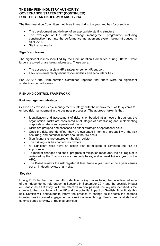# **THE SEA FISH INDUSTRY AUTHORITY GOVERNANCE STATEMENT (CONTINUED) FOR THE YEAR ENDED 31 MARCH 2014**

The Remuneration Committee met three times during the year and has focussed on:

- The development and delivery of an appropriate staffing structure.
- The oversight of the internal change management programme, including constructive input into the performance management system being introduced in April 2014.
- Staff remuneration.

## **Significant issues**

The significant issues identified by the Remuneration Committee during 2012/13 were largely resolved or are being addressed. These were:

- The absence of a clear HR strategy or senior HR support.
- Lack of internal clarity about responsibilities and accountabilities.

For 2013/14 the Remuneration Committee reported that there were no significant strategic or control issues.

# **RISK AND CONTROL FRAMEWORK**

## **Risk management strategy**

Seafish has revised its risk management strategy, with the improvement of its systems to embed risk management in the business processes. The approach taken is that:

- Identification and assessment of risks is embedded at all levels throughout the organisation. Risks are considered at all stages of establishing and implementing corporate strategy and operational plans.
- Risks are grouped and assessed as either strategic or operational risks.
- Once the risks are identified, they are evaluated in terms of probability of the risk occurring, and potential impact should the risk occur.
- Significant risks are entered on the risk register.
- The risk register has named risk owners.
- All significant risks have an action plan to mitigate or eliminate the risk as appropriate.
- To monitor changes and check progress of mitigation measures, the risk register is reviewed by the Executive on a quarterly basis, and at least twice a year by the ARC.
- The Board reviews the risk register at least twice a year, and once a year carries out an in-depth review of all risks.

## **Key risk**

During 2013/14, the Board and ARC identified a key risk as being the uncertain outcome of the independence referendum in Scotland in September 2014 and the possible impact on Seafish as a UK body. With the referendum now passed, the key risk identified is the change to the constitution of the UK and the potential impact on Seafish. To mitigate this risk, Seafish will endeavour to inform the process of change as it affects the seafood industry, has increased engagement at a national level through Seafish regional staff and commissioned a review of regional activities.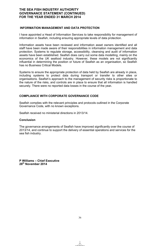# **THE SEA FISH INDUSTRY AUTHORITY GOVERNANCE STATEMENT (CONTINUED) FOR THE YEAR ENDED 31 MARCH 2014**

## **INFORMATION MANAGEMENT AND DATA PROTECTION**

I have appointed a Head of Information Services to take responsibility for management of information in Seafish, including ensuring appropriate levels of data protection.

Information assets have been reviewed and information asset owners identified and all staff have been made aware of their responsibilities in information management and data protection. Systems to regulate storage, accessibility, cleansing and audit of information assets have been established. Seafish does carry out some data modelling, mainly on the economics of the UK seafood industry. However, these models are not significantly influential in determining the position or future of Seafish as an organisation, so Seafish has no Business Critical Models.

Systems to ensure the appropriate protection of data held by Seafish are already in place, including systems to protect data during transport or transfer to other sites or organisations. Seafish's approach to the management of security risks is proportionate to the nature of the risks, and controls are in place to ensure that all information is handled securely. There were no reported data losses in the course of the year**.** 

## **COMPLIANCE WITH CORPORATE GOVERNANCE CODE**

Seafish complies with the relevant principles and protocols outlined in the Corporate Governance Code, with no known exceptions.

Seafish received no ministerial directions in 2013/14.

## **Conclusion**

The governance arrangements of Seafish have improved significantly over the course of 2013/14, and continue to support the delivery of essential operations and services for the sea fish industry.

**P Williams – Chief Executive 28th November 2014**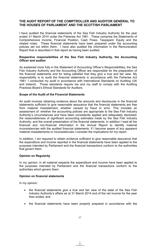# **THE AUDIT REPORT OF THE COMPTROLLER AND AUDITOR GENERAL TO THE HOUSES OF PARLIAMENT AND THE SCOTTISH PARLIAMENT**

I have audited the financial statements of the Sea Fish Industry Authority for the year ended 31 March 2014 under the Fisheries Act 1981. These comprise the Statements of Comprehensive Income, Financial Position, Cash Flows, Taxpayers' Equity and the related notes. These financial statements have been prepared under the accounting policies set out within them. I have also audited the information in the Remuneration Report that is described in that report as having been audited.

## **Respective responsibilities of the Sea Fish Industry Authority, the Accounting Officer and auditor**

As explained more fully in the Statement of Accounting Officer's Responsibilities**,** the Sea Fish Industry Authority and the Accounting Officer are responsible for the preparation of the financial statements and for being satisfied that they give a true and fair view. My responsibility is to audit the financial statements in accordance with the Fisheries Act 1981. I conducted my audit in accordance with International Standards on Auditing (UK and Ireland). Those standards require me and my staff to comply with the Auditing Practices Board's Ethical Standards for Auditors.

## **Scope of the Audit of the Financial Statements**

An audit involves obtaining evidence about the amounts and disclosures in the financial statements sufficient to give reasonable assurance that the financial statements are free from material misstatement, whether caused by fraud or error. This includes an assessment of: whether the accounting policies are appropriate to the Sea Fish Industry Authority's circumstances and have been consistently applied and adequately disclosed; the reasonableness of significant accounting estimates made by the Sea Fish Industry Authority; and the overall presentation of the financial statements. In addition I read all the financial and non-financial information in the Annual Report to identify material inconsistencies with the audited financial statements. If I become aware of any apparent material misstatements or inconsistencies I consider the implications for my report.

In addition, I am required to obtain evidence sufficient to give reasonable assurance that the expenditure and income reported in the financial statements have been applied to the purposes intended by Parliament and the financial transactions conform to the authorities that govern them.

## **Opinion on Regularity**

In my opinion, in all material respects the expenditure and income have been applied to the purposes intended by Parliament and the financial transactions conform to the authorities which govern them.

## **Opinion on financial statements**

In my opinion:

- the financial statements give a true and fair view of the state of the Sea Fish Industry Authority's affairs as at 31 March 2014 and of the net income for the year then ended; and
- the financial statements have been properly prepared in accordance with the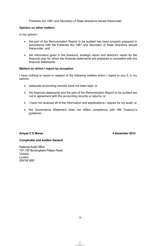Fisheries Act 1981 and Secretary of State directions issued thereunder.

### **Opinion on other matters**

In my opinion:

- the part of the Remuneration Report to be audited has been properly prepared in accordance with the Fisheries Act 1981 and Secretary of State directions issued thereunder; and
- the information given in the foreword, strategic report and directors' report for the financial year for which the financial statements are prepared is consistent with the financial statements.

### **Matters on which I report by exception**

I have nothing to report in respect of the following matters which I report to you if, in my opinion:

- adequate accounting records have not been kept; or
- the financial statements and the part of the Remuneration Report to be audited are not in agreement with the accounting records or returns; or
- I have not received all of the information and explanations I require for my audit; or
- the Governance Statement does not reflect compliance with HM Treasury's guidance.

## **Amyas C E Morse 4 December 2014**

## **Comptroller and Auditor General**

National Audit Office 157-197 Buckingham Palace Road Victoria London SW1W 9SP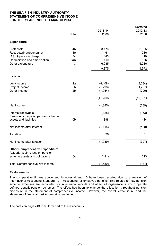# **THE SEA FISH INDUSTRY AUTHORITY STATEMENT OF COMPREHENSIVE INCOME FOR THE YEAR ENDED 31 MARCH 2014**

|                                                                              |                 |           | Restated  |
|------------------------------------------------------------------------------|-----------------|-----------|-----------|
|                                                                              |                 | 2013-14   | 2012-13   |
|                                                                              | <b>Note</b>     | £000      | £000      |
| <b>Expenditure</b>                                                           |                 |           |           |
| Staff costs                                                                  | 4b              | 3,176     | 2,995     |
| Restructuring/redundancy                                                     | 4e              | 61        | 286       |
| IAS 19 pension charge                                                        | 4c              | 443       | 419       |
| Depreciation and amortisation                                                | 5&6             | 110       | 56        |
| Other expenditure                                                            | 3               | 6,085     | 6,216     |
|                                                                              |                 | 9,875     | 9,972     |
| <b>Income</b>                                                                |                 |           |           |
| Levy income                                                                  | 2a              | (8,408)   | (8, 234)  |
| Project Income                                                               | 2 <sub>b</sub>  | (1,798)   | (1, 727)  |
| Other Income                                                                 | 2 <sub>b</sub>  | (1,054)   | (700)     |
|                                                                              |                 | (11, 260) | (10, 661) |
|                                                                              |                 |           |           |
| Net income                                                                   |                 | (1, 385)  | (689)     |
| Interest receivable                                                          |                 | (128)     | (153)     |
| Financing charge on pension scheme<br>assets and liabilities                 | 10 <sub>b</sub> | 398       | 414       |
| Net income after interest                                                    |                 | (1, 115)  | (428)     |
|                                                                              |                 |           |           |
| <b>Taxation</b>                                                              |                 | 26        | 31        |
| Net income after taxation                                                    |                 | (1,089)   | (397)     |
| <b>Other Comprehensive Expenditure</b><br>Actuarial (gain) / loss on pension |                 |           |           |
| scheme assets and obligations                                                | 10 <sub>c</sub> | (491)     | 213       |
| <b>Total Comprehensive Net Income</b>                                        |                 | (1,580)   | (184)     |

## **Restatements**

The comparative figures above and in notes 4 and 10 have been restated due to a revision of International Accounting Standard 19 – Accounting for employee benefits. This relates to how pension scheme expenses are accounted for in actuarial reports and affect all organisations which operate defined benefit pension schemes. The effect has been to change the allocation throughout pension disclosure in the statement of comprehensive income. However, the overall effect is nil and the statement of financial position remains unaffected.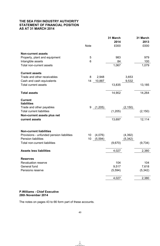# **THE SEA FISH INDUSTRY AUTHORITY STATEMENT OF FINANCIAL POSITION AS AT 31 MARCH 2014**

|                                                                             | <b>Note</b> |         | 31 March<br>2014<br>£000 |          | 31 March<br>2013<br>£000 |
|-----------------------------------------------------------------------------|-------------|---------|--------------------------|----------|--------------------------|
| <b>Non-current assets</b>                                                   |             |         |                          |          |                          |
| Property, plant and equipment                                               | 5           |         | 983                      |          | 979                      |
| Intangible assets                                                           | 6           |         | 84                       |          | 100                      |
| Total non-current assets                                                    |             |         | 1,067                    |          | 1,079                    |
| <b>Current assets</b>                                                       |             |         |                          |          |                          |
| Trade and other receivables                                                 | 8           | 2,948   |                          | 3,653    |                          |
| Cash and cash equivalents                                                   | 14          | 10,887  |                          | 9,532    |                          |
| <b>Total current assets</b>                                                 |             |         | 13,835                   |          | 13,185                   |
| <b>Total assets</b>                                                         |             |         | 14,902                   |          | 14,264                   |
| <b>Current</b><br>liabilities                                               |             |         |                          |          |                          |
| Trade and other payables                                                    | 9           | (1,205) |                          | (2, 150) |                          |
| <b>Total current liabilities</b>                                            |             |         | (1,205)                  |          | (2, 150)                 |
| Non-current assets plus net                                                 |             |         |                          |          |                          |
| current assets                                                              |             |         | 13,697                   |          | 12,114                   |
|                                                                             |             |         |                          |          |                          |
| <b>Non-current liabilities</b><br>Provisions - unfunded pension liabilities | 10          | (4,076) |                          | (4, 392) |                          |
| <b>Pension liabilities</b>                                                  | 10          | (5,594) |                          | (5, 342) |                          |
| <b>Total non-current liabilities</b>                                        |             |         | (9,670)                  |          | (9,734)                  |
| <b>Assets less liabilities</b>                                              |             |         | 4,027                    |          | 2,380                    |
|                                                                             |             |         |                          |          |                          |
| <b>Reserves</b>                                                             |             |         |                          |          |                          |
| <b>Revaluation reserve</b>                                                  |             |         | 104                      |          | 104                      |
| General fund                                                                |             |         | 9,517                    |          | 7,618                    |
| Pensions reserve                                                            |             |         | (5,594)                  |          | (5, 342)                 |
|                                                                             |             |         | 4,027                    |          | 2,380                    |

## **P.Williams - Chief Executive 28th November 2014**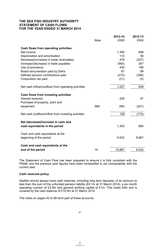# **THE SEA FISH INDUSTRY AUTHORITY STATEMENT OF CASH FLOWS FOR THE YEAR ENDED 31 MARCH 2014**

|                                                     |             | 2013-14 | 2012-13 |
|-----------------------------------------------------|-------------|---------|---------|
|                                                     | <b>Note</b> | £000    | £000    |
| <b>Cash flows from operating activities</b>         |             |         |         |
| Net income                                          |             | 1,385   | 689     |
| Depreciation and amortisation                       |             | 110     | 56      |
| Decrease/(increase) in trade receivables            |             | 479     | (257)   |
| Increase/(decrease) in trade payables               |             | (940)   | 357     |
| Use of provisions                                   |             | 430     | 196     |
| Board remuneration paid by Defra                    |             | 67      | 99      |
| Defined pension contributions paid                  |             | (273)   | (296)   |
| Corporation tax paid                                |             | (31)    | (5)     |
| Net cash inflow/(outflow) from operating activities |             | 1,227   | 839     |
| <b>Cash flows from investing activities</b>         |             |         |         |
| Interest received                                   |             | 226     | 47      |
| Purchase of property, plant and                     |             |         |         |
| equipment                                           | 5&6         | (98)    | (221)   |
| Net cash (outflow)/inflow from investing activities |             | 128     | (174)   |
|                                                     |             |         |         |
| Net (decrease)/increase in cash and                 |             |         |         |
| cash equivalents in the period                      |             | 1,355   | 665     |
| Cash and cash equivalents at the                    |             |         |         |
| beginning of the period                             |             | 9,532   | 8,867   |
| Cash and cash equivalents at the                    |             |         |         |
| end of the period                                   | 14          | 10,887  | 9,532   |

The Statement of Cash Flow has been prepared to ensure it is fully compliant with the FReM, and the previous year figures have been reclassified to aid comparability with the current year.

## **Cash reserves policy**

Seafish should always have cash reserves, including long term deposits, of an amount no less than the sum of the unfunded pension liability (£4.1m at 31 March 2014), a six month operating cushion of £3.9m and general working capital of £1m. This totals £9m and is covered by the cash balance of £10.9m at 31 March 2014.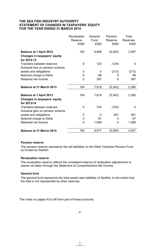# **THE SEA FISH INDUSTRY AUTHORITY STATEMENT OF CHANGES IN TAXPAYERS' EQUITY FOR THE YEAR ENDED 31 MARCH 2014**

|                                     | Revaluation<br>Reserve | General<br>Fund | Pension<br>Reserve | Total<br><b>Reserves</b> |
|-------------------------------------|------------------------|-----------------|--------------------|--------------------------|
|                                     | £000                   | £000            | £000               | £000                     |
| <b>Balance at 1 April 2012</b>      | 104                    | 6,998           | (5,005)            | 2,097                    |
| <b>Changes in taxpayers' equity</b> |                        |                 |                    |                          |
| for 2012-13                         |                        |                 |                    |                          |
| Transfers between reserves          | 0                      | 124             | (124)              | 0                        |
| Actuarial loss on pension scheme    |                        |                 |                    |                          |
| assets and obligations              | 0                      | 0               | (213)              | (213)                    |
| Notional charge to Defra            | 0                      | 99              | 0                  | 99                       |
| Retained net income                 | 0                      | 397             | 0                  | 397                      |
| <b>Balance at 31 March 2013</b>     | 104                    | 7,618           | (5, 342)           | 2,380                    |
| <b>Balance at 1 April 2013</b>      | 104                    | 7,618           | (5, 342)           | 2,380                    |
| <b>Changes in taxpayers' equity</b> |                        |                 |                    |                          |
| for 2013/14                         |                        |                 |                    |                          |
| Transfers between reserves          | $\mathbf 0$            | 743             | (743)              | 0                        |
| Actuarial gain on pension scheme    |                        |                 |                    |                          |
| assets and obligations              | 0                      | $\Omega$        | 491                | 491                      |
| Notional charge to Defra            | 0                      | 67              | 0                  | 67                       |
| Retained net income                 | 0                      | 1,089           | 0                  | 1,089                    |
| <b>Balance at 31 March 2014</b>     | 104                    | 9,517           | (5, 594)           | 4,027                    |
|                                     |                        |                 |                    |                          |

## **Pension reserve**

The pension reserve represents the net liabilities on the West Yorkshire Pension Fund as funded by Seafish.

## **Revaluation reserve**

The revaluation reserve reflects the unrealised balance of revaluation adjustments to assets not taken through the Statement of Comprehensive Net Income.

### **General fund**

The general fund represents the total assets less liabilities of Seafish, to the extent that the total is not represented by other reserves.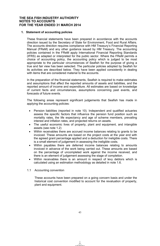### **NOTES TO ACCOUNTS FOR THE YEAR ENDED 31 MARCH 2014 THE SEA FISH INDUSTRY AUTHORITY**

## **1. Statement of accounting policies**

These financial statements have been prepared in accordance with the accounts direction issued by the Secretary of State for Environment, Food and Rural Affairs. The accounts direction requires compliance with HM Treasury's Financial Reporting Manual (FReM) and any other guidance issued by HM Treasury. The accounting policies contained in the FReM apply International Financial Reporting Standards (IFRS) as adapted or interpreted for the public sector. Where the FReM permits a choice of accounting policy, the accounting policy which is judged to be most appropriate to the particular circumstances of Seafish for the purpose of giving a true and fair view has been selected. The particular policies adopted by Seafish for its activities are described below. They have been applied consistently in dealing with items that are considered material to the accounts.

In the preparation of the financial statements, Seafish is required to make estimates and assumptions that affect the reported amounts of assets and liabilities, and the reported amount of income and expenditure. All estimates are based on knowledge of current facts and circumstances, assumptions concerning past events, and forecasts of future events.

The following areas represent significant judgements that Seafish has made in applying the accounting policies:

- Pension liabilities (reported in note 10). Independent and qualified actuaries assess the specific factors that influence the pension fund position such as mortality rates, the life expectancy and age of scheme members, prevailing interest and inflation rates, and projected returns on assets.
- The useful economic lives of property, plant and equipment, and intangible assets (see note 1.2)
- Within receivables there are accrued income balances relating to grants to be invoiced. These amounts are based on the project costs at the year end with the agreed grant percentage applied and a deduction for ineligible costs. There is a small element of judgement in assessing the ineligible costs.
- Within payables there are deferred income balances relating to amounts invoiced in advance of the work being carried out. These amounts are based on the percentage of uncompleted work against the income received, and there is an element of judgement assessing the stage of completion.
- Within receivables there is an amount in respect of levy debtors which is calculated using an estimation methodology as detailed in note 1.6.
- 1.1 Accounting convention

These accounts have been prepared on a going concern basis and under the historical cost convention modified to account for the revaluation of property, plant and equipment.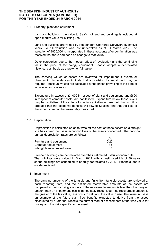### 1.2 Property, plant and equipment

Land and buildings: the value to Seafish of land and buildings is included at open-market value for existing use.

Land and buildings are valued by independent Chartered Surveyors every five years. A full valuation was last undertaken as at 31 March 2012. The valuation of £850,000 is incorporated in these accounts after confirmation was received that there had been no change to that value.

Other categories: due to the modest effect of revaluation and the continuing fall in the price of technology equipment, Seafish adopts a depreciated historical cost basis as a proxy for fair value.

The carrying values of assets are reviewed for impairment if events or changes in circumstances indicate that a provision for impairment may be required. Residual values are calculated at the prices prevailing at the date of acquisition or revaluation.

Expenditure in excess of £1,000 in respect of plant and equipment, and £800 in respect of computer costs, are capitalised. Expenditure below these levels may be capitalised if the criteria for initial capitalisation are met, that is if it is probable that the economic benefits will flow to Seafish, and that the cost of the expenditure can be reasonably measured.

#### 1.3 Depreciation

Depreciation is calculated so as to write off the cost of those assets on a straight line basis over the useful economic lives of the assets concerned. The principal annual depreciation rates are as follows:

|                             | (% )  |
|-----------------------------|-------|
| Furniture and equipment     | 10-20 |
| Computer equipment          | -33   |
| Intangible asset - software | -33   |

Freehold buildings are depreciated over their estimated useful economic life. The buildings were valued in March 2012 with an estimated life of 30 years so the buildings are scheduled to be fully depreciated by 2042. Freehold land is not depreciated.

#### 1.4 Impairment

The carrying amounts of the tangible and finite-life intangible assets are reviewed at each reporting date, and the estimated recoverable amounts of the assets are compared to their carrying amounts. If the recoverable amount is less than the carrying amount then an impairment loss is immediately recognised. The recoverable amount is the greater of the fair value, less costs to sell, and the value in use. The value in use is an estimate of the future cash flow benefits expected to derive from the asset, discounted by a rate that reflects the current market assessments of the time value for money and the risks specific to the asset.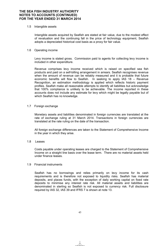### 1.5 Intangible assets

Intangible assets acquired by Seafish are stated at fair value, due to the modest effect of revaluation and the continuing fall in the price of technology equipment, Seafish adopts a depreciated historical cost basis as a proxy for fair value.

### 1.6 Operating income

Levy income is stated gross. Commission paid to agents for collecting levy income is included in other expenditure.

Revenue comprises levy income received which is raised on specified sea fish products and paid on a self-billing arrangement in arrears. Seafish recognises revenue when the amount of revenue can be reliably measured and it is probable that future economic benefits will flow to Seafish. In seeking to apply IAS 18 – Revenue Recognition, an estimation methodology is applied which reflects historic payment profiles. Seafish make all reasonable attempts to identify all liabilities but acknowledge that 100% compliance is unlikely to be achievable. The income reported in these accounts does not include any estimate for levy which might be legally payable but of which Seafish has no knowledge.

### 1.7 Foreign exchange

Monetary assets and liabilities denominated in foreign currencies are translated at the rate of exchange ruling at 31 March 2014. Transactions in foreign currencies are translated at the rate ruling on the date of the transaction.

All foreign exchange differences are taken to the Statement of Comprehensive Income in the year in which they arise.

#### 1.8 Leases

Costs payable under operating leases are charged to the Statement of Comprehensive Income on a straight line basis over the lease term. There are no material assets held under finance leases.

### 1.9 Financial instruments

Seafish has no borrowings and relies primarily on levy income for its cash requirements and is therefore not exposed to liquidity risks. Seafish has material deposits, and places funds, with the exception of daily working capital on fixed rate deposits to minimise any interest rate risk. All material assets and liabilities are denominated in sterling so Seafish is not exposed to currency risk. Full disclosure required by IAS 32, IAS 39 and IFRS 7 is shown at note 13.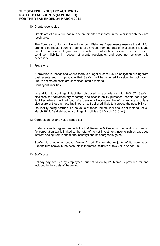### 1.10 Grants receivables

Grants are of a revenue nature and are credited to income in the year in which they are receivable.

The European Union and United Kingdom Fisheries Departments reserve the right for grants to be repaid if during a period of six years from the date of final claim it is found that the conditions of grant were breached. Seafish has reviewed the need for a contingent liability in respect of grants receivable, and does not consider this necessary.

### 1.11 Provisions

A provision is recognised where there is a legal or constructive obligation arising from past events and it is probable that Seafish will be required to settle the obligation. Future estimated costs are only discounted if material.

Contingent liabilities

In addition to contingent liabilities disclosed in accordance with IAS 37, Seafish discloses for parliamentary reporting and accountability purposes, certain contingent liabilities where the likelihood of a transfer of economic benefit is remote – unless disclosure of those remote liabilities is itself believed likely to increase the possibility of the liability being accrued, or the value of these remote liabilities is not material. At 31 March 2014, Seafish had no contingent liabilities (31 March 2013: nil).

1.12 Corporation tax and value added tax

Under a specific agreement with the HM Revenue & Customs, the liability of Seafish for corporation tax is limited to the total of its net investment income (which excludes interest arising from loans to the industry) and its chargeable gains.

 Seafish is unable to recover Value Added Tax on the majority of its purchases. Expenditure shown in the accounts is therefore inclusive of this Value Added Tax.

#### 1.13 Staff costs

Holiday pay accrued by employees, but not taken by 31 March is provided for and included in the costs of the period.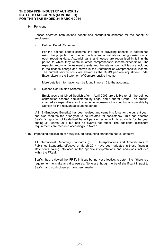## 1.14 Pensions

Seafish operates both defined benefit and contribution schemes for the benefit of employees.

i. Defined Benefit Schemes

For the defined benefit scheme, the cost of providing benefits is determined using the projected unit method, with actuarial valuations being carried out at each reporting date. Actuarial gains and losses are recognised in full in the period to which they relate in other comprehensive income/expenditure. The expected return on investment assets and the interest on liabilities are included in the finance charge and shown in the Statement of Comprehensive Income. The current service costs are shown as the IAS19 pension adjustment under Expenditure in the Statement of Comprehensive Income.

More detailed information can be found in note 10 to the accounts.

ii. Defined Contribution Schemes

Employees that joined Seafish after 1 April 2006 are eligible to join the defined contribution scheme administered by Legal and General Group. The amount charged as expenditure for this scheme represents the contributions payable by Seafish for the relevant accounting period.

IAS 19 (Employee Benefits) has been revised and came into force for the current year, and also requires the prior year to be restated for consistency. This has affected Seafish's reporting of its defined benefit pension scheme in its accounts for the year ending 31 March 2014 but has no overall net effect. The additional disclosure requirements are recorded accordingly in Note 10.

1.15 Impending application of newly issued accounting standards not yet effective

All International Reporting Standards (IFRS), Interpretations and Amendments to Published Standards, effective at March 2014 have been adopted in these financial statements, taking into account the specific interpretations and adaptions included within the FReM.

Seafish has reviewed the IFRS's in issue but not yet effective, to determine if there is a requirement to make any disclosures. None are thought to be of significant impact to Seafish and no disclosures have been made.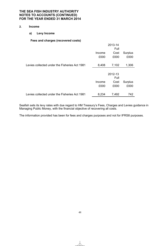**2. Income**

### **a) Levy Income**

## **Fees and charges (recovered costs)**

|                                               |        | 2013-14 |         |
|-----------------------------------------------|--------|---------|---------|
|                                               |        | Full    |         |
|                                               | Income | Cost    | Surplus |
|                                               | £000   | £000    | £000    |
| Levies collected under the Fisheries Act 1981 | 8,408  | 7,102   | 1,306   |
|                                               |        |         |         |
|                                               |        | 2012-13 |         |
|                                               |        | Full    |         |
|                                               | Income | Cost    | Surplus |
|                                               | £000   | £000    | £000    |
| Levies collected under the Fisheries Act 1981 | 8,234  | 7,492   | 742     |

Seafish sets its levy rates with due regard to HM Treasury's Fees, Charges and Levies guidance in Managing Public Money, with the financial objective of recovering all costs.

The information provided has been for fees and charges purposes and not for IFRS8 purposes.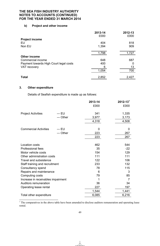## **b) Project and other income**

|                                        | 2013-14 | 2012-13 |
|----------------------------------------|---------|---------|
|                                        | £000    | £000    |
| <b>Project income</b>                  |         |         |
| EU                                     | 404     | 818     |
| Non EU                                 | 1,394   | 909     |
|                                        | 1,798   | 1,727   |
| <b>Other income</b>                    |         |         |
| Commercial income                      | 648     | 687     |
| Payment towards High Court legal costs | 400     |         |
| VAT recovery                           | 6       | 13      |
|                                        | 1,054   | 700     |
| <b>Total</b>                           | 2,852   | 2,427   |

## **3. Other expenditure**

Details of Seafish expenditure is made up as follows:

|                                    |           | 2013-14 | $2012 - 131$ |
|------------------------------------|-----------|---------|--------------|
|                                    |           | £000    | £000         |
|                                    |           |         |              |
| <b>Project Activities</b>          | $-EU$     | 341     | 1,335        |
|                                    | $-$ Other | 3,977   | 3,173        |
|                                    |           | 4,318   | 4,508        |
| <b>Commercial Activities</b>       | $-EU$     | 0       | 0            |
|                                    | — Other   | 223     | 267          |
|                                    |           | 223     | 267          |
|                                    |           |         |              |
| Location costs                     |           | 462     | 544          |
| <b>Professional fees</b>           |           | 35      | $-22$        |
| Motor vehicle costs                |           | 154     | 129          |
| Other administration costs         |           | 111     | 111          |
| <b>Travel and subsistence</b>      |           | 122     | 106          |
| Staff training and recruitment     |           | 233     | 132          |
| Consultancy spend                  |           | 78      | 115          |
| Repairs and maintenance            |           | 6       | 3            |
| Computing costs                    |           | 79      | 85           |
| Increase in receivables impairment |           | 1       | 7            |
| Auditors remuneration              |           | 36      | 34           |
| Operating lease rental             |           | 227     | 197          |
|                                    |           | 1,544   | 1,441        |
| Total other expenditure            |           | 6,085   | 6,216        |

<sup>1</sup> The comparatives in the above table have been amended to disclose auditors remuneration and operating lease rental.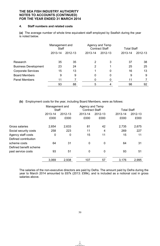## **4. Staff numbers and related costs**

**(a)** The average number of whole time equivalent staff employed by Seafish during the year is noted below.

|                             | Management and<br>Staff |         |         | Agency and Temp<br><b>Contract Staff</b> |         | <b>Total Staff</b> |  |
|-----------------------------|-------------------------|---------|---------|------------------------------------------|---------|--------------------|--|
|                             | 2013-14                 | 2012-13 | 2013-14 | 2012-13                                  | 2013-14 | 2012-13            |  |
| Research                    | 35                      | 35      |         | 3                                        | 37      | 38                 |  |
| <b>Business Development</b> | 23                      | 24      | 2       |                                          | 25      | 25                 |  |
| <b>Corporate Services</b>   | 15                      | 13      |         | 0                                        | 16      | 13                 |  |
| <b>Board Members</b>        | 9                       | 9       | 0       | 0                                        | 9       | 9                  |  |
| <b>Panel Members</b>        | 11                      |         | 0       | 0                                        | 11      |                    |  |
|                             | 93                      | 88      | 5       |                                          | 98      | 92                 |  |

**(b)** Employment costs for the year, including Board Members, were as follows:

|                                            | Management and<br><b>Staff</b> |         |                | Agency and Temp<br><b>Contract Staff</b> |         | <b>Total Staff</b> |  |
|--------------------------------------------|--------------------------------|---------|----------------|------------------------------------------|---------|--------------------|--|
|                                            | 2013-14                        | 2012-13 | 2013-14        | 2012-13                                  | 2013-14 | 2012-13            |  |
|                                            | £000                           | £000    | £000           | £000                                     | £000    | £000               |  |
| Gross salaries                             | 2,654                          | 2,633   | 81             | 42                                       | 2,735   | 2,675              |  |
| Social security costs                      | 258                            | 223     | 11             | 4                                        | 269     | 227                |  |
| Agency staff costs<br>Defined contribution | 0                              | 0       | 15             | 11                                       | 15      | 11                 |  |
| scheme costs<br>Defined benefit scheme     | 64                             | 31      | $\overline{0}$ | 0                                        | 64      | 31                 |  |
| past service costs                         | 93                             | 51      | $\mathbf 0$    | 0                                        | 93      | 51                 |  |
|                                            | 3,069                          | 2,938   | 107            | 57                                       | 3,176   | 2,995              |  |

The salaries of the non-executive directors are paid by Defra. The amount paid by Defra during the year to March 2014 amounted to £67k (2013: £99k), and is included as a notional cost in gross salaries above.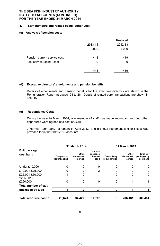### **4. Staff numbers and related costs (continued)**

### **(c) Analysis of pension costs**

|                              |         | Restated |
|------------------------------|---------|----------|
|                              | 2013-14 | 2012-13  |
|                              | £000    | £000     |
| Pension current service cost | 443     | 419      |
| Past service (gain) / cost   | 0       | 0        |
|                              | 443     | 419      |

### **(d) Executive directors' emoluments and pension benefits**

Details of emoluments and pension benefits for the executive directors are shown in the Remuneration Report at pages 24 to 28. Details of related party transactions are shown in note 15.

#### **(e) Redundancy Costs**

During the year to March 2014, one member of staff was made redundant and two other departures were agreed at a cost of £61k.

J Harman took early retirement in April 2013, and his total retirement and exit cost was provided for in the 2012-2013 accounts.

|                                  |                            | 31 March 2014                 |                                                  | 31 March 2013                     |                               |                                               |
|----------------------------------|----------------------------|-------------------------------|--------------------------------------------------|-----------------------------------|-------------------------------|-----------------------------------------------|
| <b>Exit package</b><br>cost band | Compulsory<br>redundancies | Other<br>departures<br>agreed | <b>Total exit</b><br>packages<br>by cost<br>band | <b>Compulsory</b><br>redundancies | Other<br>departures<br>agreed | <b>Total exit</b><br>packages by<br>cost band |
| <b>Under £10,000</b>             |                            | 0                             | 0                                                | 0                                 | 0                             | 0                                             |
| £10,001-£25,000                  |                            | 2                             | $\overline{2}$                                   | 0                                 | 0                             | 0                                             |
| £25,001-£50,000<br>£285,001-     |                            | 0                             | 1                                                | 0                                 | $\Omega$                      | 0                                             |
| £290,000                         | 0                          | 0                             | 0                                                | 0                                 |                               |                                               |
| <b>Total number of exit</b>      |                            |                               |                                                  |                                   |                               |                                               |
| packages by type                 |                            | $\mathbf 2$                   | 3                                                | 0                                 |                               |                                               |
| Total resource cost £            | 26,670                     | 34,427                        | 61,097                                           | 0                                 | 286,481                       | 286,481                                       |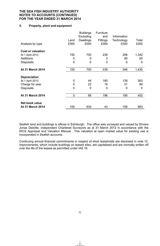## **5. Property, plant and equipment**

|                          |      | <b>Buildings</b> | Furniture |             |                |
|--------------------------|------|------------------|-----------|-------------|----------------|
|                          |      | Excluding        | and       | Information |                |
|                          | Land | <b>Dwellings</b> | Fittings  | Technology  | Total          |
| Analysis by type         | £000 | £000             | £000      | £000        | £000           |
| <b>Cost or valuation</b> |      |                  |           |             |                |
| At 1 April 2013          | 150  | 700              | 236       | 256         | 1,342          |
| <b>Additions</b>         | 0    | 0                | 3         | 90          | 93             |
| <b>Disposals</b>         | 0    | 0                | 0         | 0           | 0              |
| At 31 March 2014         | 150  | 700              | 239       | 346         | 1,435          |
| <b>Depreciation</b>      |      |                  |           |             |                |
| At 1 April 2013          | 0    | 44               | 180       | 139         | 363            |
| Charge for year          | 0    | 22               | 16        | 51          | 89             |
| <b>Disposals</b>         | 0    | $\overline{0}$   | 0         | 0           | $\overline{0}$ |
| <b>At 31 March 2014</b>  | 0    | 66               | 196       | 190         | 452            |
| Net book value           |      |                  |           |             |                |
| At 31 March 2014         | 150  | 634              | 43        | 156         | 983            |
|                          |      |                  |           |             |                |

Seafish land and buildings is offices in Edinburgh. The office was surveyed and valued by Drivers Jonas Deloitte, independent Chartered Surveyors as at 31 March 2012 in accordance with the RICS Appraisal and Valuation Manual. This valuation at open market value for existing use is incorporated in Seafish accounts.

Continuing annual financial commitments in respect of short leaseholds are disclosed in note 12. Improvements, which include buildings on leased sites, are capitalised and are normally written off over the life of the leases as permitted under IAS 16.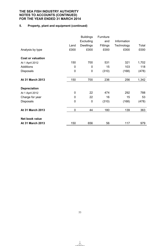# **5. Property, plant and equipment (continued)**

|                          |             | <b>Buildings</b> | Furniture |             |       |
|--------------------------|-------------|------------------|-----------|-------------|-------|
|                          |             | Excluding        | and       | Information |       |
|                          | Land        | <b>Dwellings</b> | Fittings  | Technology  | Total |
| Analysis by type         | £000        | £000             | £000      | £000        | £000  |
| <b>Cost or valuation</b> |             |                  |           |             |       |
| At 1 April 2012          | 150         | 700              | 531       | 321         | 1,702 |
| <b>Additions</b>         | 0           | $\mathbf 0$      | 15        | 103         | 118   |
| <b>Disposals</b>         | $\mathbf 0$ | $\mathbf 0$      | (310)     | (168)       | (478) |
| At 31 March 2013         | 150         | 700              | 236       | 256         | 1,342 |
| <b>Depreciation</b>      |             |                  |           |             |       |
| At 1 April 2012          | 0           | 22               | 474       | 292         | 788   |
| Charge for year          | 0           | 22               | 16        | 15          | 53    |
| <b>Disposals</b>         | 0           | $\mathbf 0$      | (310)     | (168)       | (478) |
| At 31 March 2013         | 0           | 44               | 180       | 139         | 363   |
| Net book value           |             |                  |           |             |       |
| At 31 March 2013         | 150         | 656              | 56        | 117         | 979   |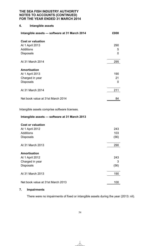# **6. Intangible assets**

| Intangible assets - software at 31 March 2014 | £000 |
|-----------------------------------------------|------|
| <b>Cost or valuation</b>                      |      |
| At 1 April 2013                               | 290  |
| Additions                                     | 5    |
| <b>Disposals</b>                              | 0    |
|                                               |      |
| At 31 March 2014                              | 295  |
|                                               |      |
| <b>Amortisation</b>                           |      |
| At 1 April 2013                               | 190  |
| Charged in year                               | 21   |
| <b>Disposals</b>                              | 0    |
|                                               |      |
| At 31 March 2014                              | 211  |
|                                               |      |
| Net book value at 31st March 2014             | 84   |

Intangible assets comprise software licenses.

# **Intangible assets — software at 31 March 2013**

| <b>Cost or valuation</b>          |      |
|-----------------------------------|------|
| At 1 April 2012                   | 243  |
| Additions                         | 103  |
| <b>Disposals</b>                  | (56) |
|                                   |      |
| At 31 March 2013                  | 290  |
|                                   |      |
| <b>Amortisation</b>               |      |
| At 1 April 2012                   | 243  |
| Charged in year                   | 3    |
| <b>Disposals</b>                  | (56) |
|                                   |      |
| At 31 March 2013                  | 190  |
|                                   |      |
| Net book value at 31st March 2013 | 100  |

# **7. Impairments**

There were no impairments of fixed or intangible assets during the year (2013: nil).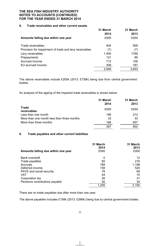## **8. Trade receivables and other current assets**

|                                                        | 31 March | 31 March |
|--------------------------------------------------------|----------|----------|
|                                                        | 2014     | 2013     |
| Amounts falling due within one year                    | £000     | £000     |
| Trade receivables                                      | 404      | 909      |
| Provision for impairment of trade and levy receivables | (7)      | (7)      |
| Levy receivables                                       | 1,400    | 1769     |
| Prepayments                                            | 131      | -89      |
| Accrued Income                                         | 712      | 106      |
| EU accrued income                                      | 308      | 787      |
|                                                        | 2,948    | 3,653    |

The above receivables include £205k (2013: £738k) being due from central government bodies.

An analysis of the ageing of the impaired trade receivables is shown below:

|                                            | 31 March<br>2014 | 31 March<br>2013 |
|--------------------------------------------|------------------|------------------|
| Trade<br>receivables                       | £000             | £000             |
| Less than one month                        | 196              | 212              |
| More than one month less than three months | 33               | 33               |
| More than three months                     | 168              | 657              |
|                                            | 397              | 902              |

# **9. Trade payables and other current liabilities**

|                                     | 31 March<br>2014 | 31 March<br>2013 |
|-------------------------------------|------------------|------------------|
| Amounts falling due within one year | £000             | £000             |
| Bank overdraft                      | 0                | 12               |
| Trade payables                      | 60               | 216              |
| Accruals                            | 789              | 1,198            |
| Deferred income                     | 158              | 520              |
| PAYE and social security            | 78               | 69               |
| VAT                                 | 54               | 70               |
| Corporation tax                     | 26               | 31               |
| Pensions contributions payable      | 40               | 34               |
|                                     | 1,205            | 2,150            |

There are no trade payables due after more than one year.

The above payables includes £158k (2013: £266k) being due to central government bodies.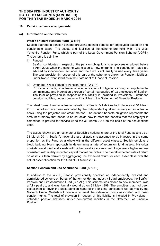### **10. Pension scheme arrangements**

### **(a) Information on the Schemes**

### **West Yorkshire Pension Fund (WYPF)**

Seafish operates a pension scheme providing defined benefits for employees based on final pensionable salary. The assets and liabilities of the scheme are held within the West Yorkshire Pension Fund, which is part of the Local Government Pension Scheme (LGPS). The scheme is split into:

i.) Funded

 Seafish contributes in respect of the pension obligations to employees employed before 1 April 2006 when the scheme was closed to new entrants. The contribution rates are advised by independent actuaries and the fund is actuarially valued every three years. The total provision in respect of this part of the scheme is shown as Pension liabilities, under Non-current liabilities in the Statement of Financial Position.

#### ii.) Unfunded: West Yorkshire Pension Fund (WYPF)

 Provision is made, on actuarial advice, in respect of obligations arising for supplemental commitments and indexation thereon of certain categories of ex-employees of Seafish. The total of provision in respect of this liability is included in Provisions – unfunded pension liabilities, under non-current liabilities in the Statement of Financial Position.

The latest formal triennial actuarial valuation of Seafish's liabilities took place as at 31 March 2013. Liabilities have been estimated by the independent qualified actuary on an actuarial basis using the projected unit credit method. The defined benefits obligation represents the amount of money that needs to be set aside now to meet the benefits that the employer is committed to provide for service up to the 31 March 2016 on the basis of the assumptions used.

The assets shown are an estimate of Seafish's notional share of the total Fund assets as at 31 March 2014. Seafish's notional share of assets is assumed to be invested in the same proportion as the Fund as a whole within the different asset classes. Seafish employs a block building block approach in determining a rate of return on fund assets. Historical markets are studied and assets with higher volatility are assumed to generate higher returns consistent with widely accepted capital market principles. The overall expected rate of return on assets is then derived by aggregating the expected return for each asset class over the actual asset allocation for the fund at 31 March 2014.

## **Seafish Pension and Life Assurance Fund (SPLAF)**

In addition to the WYPF, Seafish provisionally operated an independently invested and administered scheme on behalf of the former Herring Industry Board employees: the Seafish Pension and Life Assurance Fund (SPLAF). This scheme was closed to new members, was a fully paid up, and was formally wound up on 31 May 1999. The annuities that had been established to cover the basic pension rights of the existing pensioners will be met by the Norwich Union. Seafish will continue to meet the indexation costs associated with basic pension rights. The total of provision in respect of this liability is included in Provisions – unfunded pension liabilities, under non-current liabilities in the Statement of Financial Position.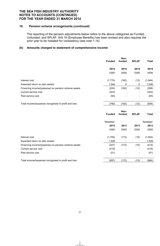# **10. Pension scheme arrangements (continued)**

The reporting of the pension adjustments below refers to the above categories as Funded, Unfunded, and SPLAF. IAS 19 (Employee Benefits) has been revised and also requires the prior year to be restated for consistency (see note 1.14)

## **(b) Amounts charged to statement of comprehensive income**

|                                                      | <b>Funded</b> | Non-<br>funded           | <b>SPLAF</b>             | <b>Total</b> |
|------------------------------------------------------|---------------|--------------------------|--------------------------|--------------|
|                                                      | 2014          | 2014                     | 2014                     | 2014         |
|                                                      | £000          | £000                     | £000                     | £000         |
| Interest cost                                        | (1,770)       | (162)                    | (12)                     | (1,944)      |
| Expected return on plan assets                       | 1,546         | 0                        | 0                        | 1,546        |
| Financing income/(expense) on pension scheme assets  | (224)         | (162)                    | (12)                     | (398)        |
| Current service cost                                 | (443)         | $\overline{\phantom{0}}$ | $\overline{\phantom{a}}$ | (443)        |
| Past service cost                                    | (93)          |                          | $\overline{\phantom{a}}$ | (93)         |
| Total income/(expense) recognised in profit and loss | (760)         | (162)                    | (12)                     | (934)        |

|                                                      | <b>Funded</b> | Non-<br>funded | <b>SPLAF</b>             | <b>Total</b> |
|------------------------------------------------------|---------------|----------------|--------------------------|--------------|
|                                                      | Restated      |                |                          | Restated     |
|                                                      | 2013          | 2013           | 2013                     | 2013         |
|                                                      | £000          | £000           | £000                     | £000         |
| Interest cost                                        | (1,755)       | (172)          | (15)                     | (1,942)      |
| Expected return on plan assets                       | 1,528         |                | $\overline{\phantom{a}}$ | 1,528        |
| Financing income/(expense) on pension scheme assets  | (227)         | (172)          | (15)                     | (414)        |
| Current service cost                                 | (419)         | $\blacksquare$ | $\overline{\phantom{a}}$ | (419)        |
| Past service cost                                    | (51)          | $\overline{a}$ | $\overline{\phantom{a}}$ | (51)         |
| Total income/(expense) recognised in profit and loss | (697)         | (172)          | (15)                     | (884)        |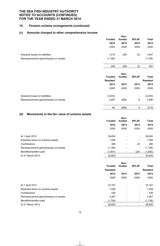## **10. Pension scheme arrangements (continued)**

### **(c) Amounts charged to other comprehensive income**

|                                        | <b>Funded</b> | Non-<br>funded | <b>SPLAF</b>             | <b>Total</b> |  |
|----------------------------------------|---------------|----------------|--------------------------|--------------|--|
|                                        | 2014          | 2014           | 2014                     | 2014         |  |
|                                        | £000          | £000           | £000                     | £000         |  |
| Actuarial losses on liabilities        | 1,415         | 209            | 23                       | 1,647        |  |
| Remeasurement gains/(losses) on assets | (1, 156)      | -              | $\overline{\phantom{a}}$ | (1, 156)     |  |
|                                        | 259           | 209            | 23                       | 491          |  |

|                                        |                 | Non-                         |                          |                 |
|----------------------------------------|-----------------|------------------------------|--------------------------|-----------------|
|                                        | <b>Funded</b>   | funded                       | <b>SPLAF</b>             | <b>Total</b>    |
|                                        | <b>Restated</b> |                              |                          | <b>Restated</b> |
|                                        | 2013            | 2013                         | 2013                     | 2013            |
|                                        | £000            | £000                         | £000                     | £000            |
| Actuarial losses on liabilities        | (3,203)         | $\qquad \qquad \blacksquare$ | $\overline{\phantom{0}}$ | (3,203)         |
| Remeasurement gains/(losses) on assets | 3,267           | (286)                        | 9                        | 2,990           |
|                                        | 64              | (286)                        | 9                        | (213)           |

# **(d) Movements in the fair value of scheme assets**

|                                        |               | Non-                     |                          |              |  |
|----------------------------------------|---------------|--------------------------|--------------------------|--------------|--|
|                                        | <b>Funded</b> | funded                   | <b>SPLAF</b>             | <b>Total</b> |  |
|                                        | 2014          | 2014                     | 2014                     | 2014         |  |
|                                        | £000          | £000                     | £000                     | £000         |  |
|                                        |               |                          |                          |              |  |
| At 1 April 2013                        | 36,650        | $\overline{\phantom{a}}$ | $\overline{\phantom{a}}$ | 36,650       |  |
| Expected return on scheme assets       | 1,546         | $\overline{\phantom{a}}$ | $\overline{\phantom{a}}$ | 1,546        |  |
| Contributions                          | 366           | $\overline{\phantom{a}}$ | 24                       | 390          |  |
| Remeasurement gains/(losses) on assets | (1, 156)      |                          | $\overline{\phantom{a}}$ | (1, 156)     |  |
| Benefits/transfers paid                | (1,801)       | -                        | (24)                     | (1,825)      |  |
| At 31 March 2014                       | 35,605        |                          | $\overline{\phantom{0}}$ | 35,605       |  |

|                 |                         |                          | Total                                    |
|-----------------|-------------------------|--------------------------|------------------------------------------|
| <b>Restated</b> |                         |                          | <b>Restated</b>                          |
| 2013            | 2013                    | 2013                     | 2013                                     |
| £000            | £000                    | £000                     | £000                                     |
|                 |                         |                          | 33,167                                   |
| 1,528           |                         | $\overline{\phantom{a}}$ | 1,528                                    |
| 426             | -                       | $\overline{\phantom{a}}$ | 426                                      |
| 3,267           | -                       | $\overline{\phantom{a}}$ | 3,267                                    |
| (1,738)         | -                       | $\overline{\phantom{a}}$ | (1,738)                                  |
| 36,650          | -                       | $\overline{\phantom{a}}$ | 36,650                                   |
|                 | <b>Funded</b><br>33,167 | Non-<br>funded<br>۰      | <b>SPLAF</b><br>$\overline{\phantom{a}}$ |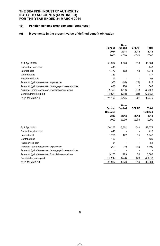# **10. Pension scheme arrangements (continued)**

# **(e) Movements in the present value of defined benefit obligation**

|                                                     | <b>Funded</b> | <b>SPLAF</b> | <b>Total</b>   |         |
|-----------------------------------------------------|---------------|--------------|----------------|---------|
|                                                     |               | funded       |                |         |
|                                                     | 2014          | 2014         | 2014           | 2014    |
|                                                     | £000          | £000         | £000           | £000    |
| At 1 April 2013                                     | 41,992        | 4,076        | 316            | 46,384  |
| Current service cost                                | 443           |              |                | 443     |
| Interest cost                                       | 1,770         | 162          | 12             | 1,944   |
| Contributions                                       | 117           |              |                | 117     |
| Past service cost                                   | 93            |              | $\overline{a}$ | 93      |
| Actuarial (gains)/losses on experience              | 333           | (99)         | (22)           | 212     |
| Actuarial (gains)/losses on demographic assumptions | 426           | 108          | 12             | 546     |
| Actuarial (gains)/losses on financial assumptions   | (2, 174)      | (218)        | (13)           | (2,405) |
| Benefits/transfers paid                             | (1,801)       | (234)        | (24)           | (2,059) |
| At 31 March 2014                                    | 41,199        | 3,795        | 281            | 45,275  |

|                                                     |                 | Non-   |              |                 |
|-----------------------------------------------------|-----------------|--------|--------------|-----------------|
|                                                     | <b>Funded</b>   | funded | <b>SPLAF</b> | <b>Total</b>    |
|                                                     | <b>Restated</b> |        |              | <b>Restated</b> |
|                                                     | 2013            | 2013   | 2013         | 2013            |
|                                                     | £000            | £000   | £000         | £000            |
| At 1 April 2012                                     | 38,172          | 3,862  | 340          | 42,374          |
| Current service cost                                | 419             |        |              | 419             |
|                                                     |                 |        |              |                 |
| Interest cost                                       | 1,755           | 172    | 15           | 1,942           |
| Contributions                                       | 130             |        |              | 130             |
| Past service cost                                   | 51              |        |              | 51              |
| Actuarial (gains)/losses on experience              | (72)            | (7)    | (29)         | (108)           |
| Actuarial (gains)/losses on demographic assumptions |                 |        |              |                 |
| Actuarial (gains)/losses on financial assumptions   | 3,275           | 293    | 20           | 3,588           |
| Benefits/transfers paid                             | (1,738)         | (244)  | (30)         | (2,012)         |
| At 31 March 2013                                    | 41,992          | 4,076  | 316          | 46,384          |
|                                                     |                 |        |              |                 |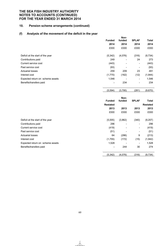# **10. Pension scheme arrangements (continued)**

# **(f) Analysis of the movement of the deficit in the year**

|                                  | <b>Funded</b>            | <b>SPLAF</b>             | <b>Total</b>             |         |
|----------------------------------|--------------------------|--------------------------|--------------------------|---------|
|                                  | 2014                     | 2014                     | 2014                     | 2014    |
|                                  | £000                     | £000                     | £000                     | £000    |
| Deficit at the start of the year | (5, 342)                 | (4,076)                  | (316)                    | (9,734) |
| Contributions paid               | 249                      | -                        | 24                       | 273     |
| Current service cost             | (443)                    | $\overline{\phantom{a}}$ | -                        | (443)   |
| Past service cost                | (93)                     | $\overline{\phantom{a}}$ |                          | (93)    |
| <b>Actuarial losses</b>          | 259                      | 209                      | 23                       | 491     |
| Interest cost                    | (1,770)                  | (162)                    | (12)                     | (1,944) |
| Expected return on scheme assets | 1,546                    | -                        | -                        | 1,546   |
| Benefits/transfers paid          | $\overline{\phantom{0}}$ | 234                      | $\overline{\phantom{0}}$ | 234     |

| (5,594) | (3.795) | (281) | (9.670) |
|---------|---------|-------|---------|
|---------|---------|-------|---------|

|                                  |                 | Non-    |                          |                 |
|----------------------------------|-----------------|---------|--------------------------|-----------------|
|                                  | <b>Funded</b>   | funded  | <b>SPLAF</b>             | <b>Total</b>    |
|                                  | <b>Restated</b> |         |                          | <b>Restated</b> |
|                                  | 2013            | 2013    | 2013                     | 2013            |
|                                  | £000            | £000    | £000                     | £000            |
| Deficit at the start of the year | (5,005)         | (3,862) | (340)                    | (9,207)         |
| Contributions paid               | 296             | -       |                          | 296             |
| Current service cost             | (419)           | ۰       | -                        | (419)           |
| Past service cost                | (51)            | -       |                          | (51)            |
| <b>Actuarial losses</b>          | 64              | (286)   | 9                        | (213)           |
| Interest cost                    | (1,755)         | (172)   | (15)                     | (1,942)         |
| Expected return on scheme assets | 1,528           | -       | $\overline{\phantom{a}}$ | 1,528           |
| Benefits/transfers paid          |                 | 244     | 30                       | 274             |
|                                  | (5, 342)        | (4,076) | (316)                    | (9,734)         |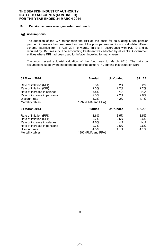### **10. Pension scheme arrangements (continued)**

## **(g) Assumptions**

The adoption of the CPI rather than the RPI as the basis for calculating future pension payment increases has been used as one of the principal assumptions to calculate different scheme liabilities from 1 April 2011 onwards. This is in accordance with IAS 19 and as required by HM Treasury. The accounting treatment was adopted by all central Government entities where RPI had been used for inflation indexing for many years.

The most recent actuarial valuation of the fund was to March 2013. The principal assumptions used by the independent qualified actuary in updating this valuation were:

| 31 March 2014                | <b>Funded</b>      | <b>Un-funded</b> | <b>SPLAF</b> |
|------------------------------|--------------------|------------------|--------------|
| Rate of inflation (RPI)      | 3.3%               | 3.2%             | 3.2%         |
| Rate of inflation (CPI)      | 2.3%               | 2.2%             | 2.2%         |
| Rate of increase in salaries | 3.8%               | N/A              | N/A          |
| Rate of increase in pensions | 2.3%               | 2.2%             | 2.6%         |
| Discount rate                | 4.2%               | 4.2%             | 4.1%         |
| Mortality tables             | 1992 (PMA and PFA) |                  |              |
| 31 March 2013                | <b>Funded</b>      | <b>Un-funded</b> | <b>SPLAF</b> |
| Rate of inflation (RPI)      | 3.6%               | 3.5%             | 3.5%         |
| Rate of inflation (CPI)      | 2.7%               | 2.6%             | 2.6%         |
| Rate of increase in salaries | 4.6%               | N/A              | N/A          |
| Rate of increase in pensions | 2.7%               | 2.6%             | 2.6%         |
| Discount rate                | 4.3%               | 4.1%             | 4.1%         |
| Mortality tables             | 1992 (PMA and PFA) |                  |              |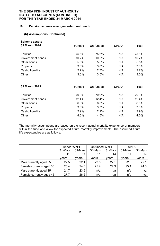## **10. Pension scheme arrangements (continued)**

# **(h) Assumptions (Continued)**

| <b>Scheme assets</b> |        |           |              |       |
|----------------------|--------|-----------|--------------|-------|
| 31 March 2014        | Funded | Un-funded | <b>SPLAF</b> | Total |
| Equities             | 75.6%  | 75.6%     | N/A          | 75.6% |
| Government bonds     | 10.2%  | 10.2%     | N/A          | 10.2% |
| Other bonds          | 5.5%   | 5.5%      | N/A          | 5.5%  |
| Property             | 3.0%   | 3.0%      | N/A          | 3.0%  |
| Cash / liquidity     | 2.7%   | 2.7%      | N/A          | 2.7%  |
| Other                | 3.0%   | 3.0%      | N/A          | 3.0%  |
| 31 March 2013        | Funded | Un-funded | <b>SPLAF</b> | Total |
| Equities             | 70.9%  | 70.9%     | N/A          | 70.9% |
| Government bonds     | 12.4%  | 12.4%     | N/A          | 12.4% |
| Other bonds          | 6.0%   | 6.0%      | N/A          | 6.0%  |
| Property             | 3.3%   | 3.3%      | N/A          | 3.3%  |
| Cash / liquidity     | 2.9%   | 2.9%      | N/A          | 2.9%  |
| Other                | 4.5%   | 4.5%      | N/A          | 4.5%  |
|                      |        |           |              |       |

The mortality assumptions are based on the recent actual mortality experience of members within the fund and allow for expected future mortality improvements. The assumed future life expectancies are as follows:

|                          | Funded WYPF |           | Unfunded WYPF |         | <b>SPLAF</b> |           |
|--------------------------|-------------|-----------|---------------|---------|--------------|-----------|
|                          | $31-Mar-$   | $31-Mar-$ | 31-Mar-       | 31-Mar- | $31-Mar-$    | $31-Mar-$ |
|                          | 14          | 13        | 14            | 13      | 14           | 13        |
|                          | vears       | vears     | vears         | vears   | vears        | vears     |
| Male currently aged 65   | 22.5        | 22.1      | 22.5          | 22.1    | 22.5         | 22.1      |
| Female currently aged 65 | 25.4        | 24.3      | 25.4          | 24.3    | 25.4         | 24.3      |
| Male currently aged 45   | 24.7        | 23.9      | n/a           | n/a     | n/a          | n/a       |
| Female currently aged 45 | 27.7        | 26.2      | n/a           | n/a     | n/a          | n/a       |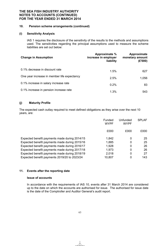## **10. Pension scheme arrangements (continued)**

### **(i) Sensitivity Analysis**

IAS 1 requires the disclosure of the sensitivity of the results to the methods and assumptions used. The sensitivities regarding the principal assumptions used to measure the scheme liabilities are set out below:

| <b>Change in Assumption</b>                 | Approximate %<br>increase in employer<br>liability | Approximate<br>monetary amount<br>(£'000) |
|---------------------------------------------|----------------------------------------------------|-------------------------------------------|
| 0.1% decrease in discount rate              | 1.5%                                               | 627                                       |
| One year increase in member life expectancy | 2.5%                                               | 1,056                                     |
| 0.1% increase in salary increase rate       | 0.2%                                               | 83                                        |
| 0.1% increase in pension increase rate      | 1.3%                                               | 543                                       |

## **(j) Maturity Profile**

The expected cash outlay required to meet defined obligations as they arise over the next 10 years, are:

|                                               | Funded<br><b>WYPF</b> | Unfunded<br><b>WYPF</b> | <b>SPLAF</b> |
|-----------------------------------------------|-----------------------|-------------------------|--------------|
|                                               | £000                  | £000                    | £000         |
| Expected benefit payments made during 2014/15 | 1,842                 | 0                       | 25           |
| Expected benefit payments made during 2015/16 | 1,885                 | $\Omega$                | 25           |
| Expected benefit payments made during 2016/17 | 1,928                 | 0                       | 26           |
| Expected benefit payments made during 2017/18 | 1,973                 | $\Omega$                | 26           |
| Expected benefit payments made during 2018/19 | 2,018                 | $\Omega$                | 27           |
| Expected benefit payments 2019/20 to 2023/24  | 10,807                | 0                       | 143          |

## **11. Events after the reporting date**

#### **Issue of accounts**

In accordance with the requirements of IAS 10, events after 31 March 2014 are considered up to the date on which the accounts are authorised for issue. The authorised for issue date is the date of the Comptroller and Auditor General's audit report.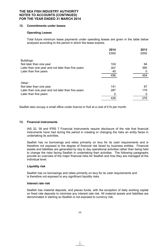### **12. Commitments under leases**

### **Operating Leases**

Total future minimum lease payments under operating leases are given in the table below analysed according to the period in which the lease expires.

|                                                   | 2014 | 2013 |
|---------------------------------------------------|------|------|
|                                                   | £000 | £000 |
| Buildings:                                        |      |      |
| Not later than one year                           | 104  | 94   |
| Later than one year and not later than five years | 307  | 360  |
| Later than five years                             | 45   |      |
|                                                   | 456  | 454  |
| Other:                                            |      |      |
| Not later than one year                           | 141  | 97   |
| Later than one year and not later than five years | 287  | 179  |
| Later than five years                             | O    |      |
|                                                   | 428  | 276  |

Seafish also occupy a small office under licence in Hull at a cost of £1k per month.

#### **13. Financial instruments**

IAS 32, 39 and IFRS 7 Financial Instruments require disclosure of the role that financial instruments have had during the period in creating or changing the risks an entity faces in undertaking its activities.

Seafish has no borrowings and relies primarily on levy for its cash requirements and is therefore not exposed to the degree of financial risk faced by business entities. Financial assets and liabilities are generated by day to day operational activities rather than being held to change the risks facing Seafish in undertaking their activities. The following paragraphs provide an overview of the major financial risks for Seafish and how they are managed at the individual level.

#### **Liquidity risk**

Seafish has no borrowings and relies primarily on levy for its cash requirements and is therefore not exposed to any significant liquidity risks.

#### **Interest rate risk**

Seafish has material deposits, and places funds, with the exception of daily working capital on fixed rate deposits to minimise any interest rate risk. All material assets and liabilities are denominated in sterling so Seafish is not exposed to currency risk.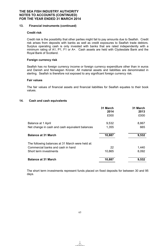### **13. Financial instruments (continued)**

### **Credit risk**

Credit risk is the possibility that other parties might fail to pay amounts due to Seafish. Credit risk arises from deposits with banks as well as credit exposures to Seafish trade debtors. Surplus operating cash is only invested with banks that are rated independently with a minimum rating of A1, P1, F1 or A+. Cash assets are held with Clydesdale Bank and the Royal Bank of Scotland.

## **Foreign currency risk**

Seafish has no foreign currency income or foreign currency expenditure other than in euros and Danish and Norwegian Kroner. All material assets and liabilities are denominated in sterling. Seafish is therefore not exposed to any significant foreign currency risk.

#### **Fair values**

The fair values of financial assets and financial liabilities for Seafish equates to their book values.

### **14. Cash and cash equivalents**

|                                                  | 31 March<br>2014 | 31 March<br>2013 |
|--------------------------------------------------|------------------|------------------|
|                                                  | £000             | £000             |
| Balance at 1 April                               | 9,532            | 8,867            |
| Net change in cash and cash equivalent balances  | 1,355            | 665              |
| <b>Balance at 31 March</b>                       | 10,887           | 9,532            |
| The following balances at 31 March were held at: |                  |                  |
| Commercial banks and cash in hand                | 22               | 1,440            |
| Short term investments                           | 10,865           | 8,092            |
| <b>Balance at 31 March</b>                       | 10,887           | 9,532            |

The short term investments represent funds placed on fixed deposits for between 30 and 95 days.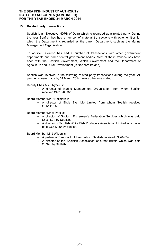### **15. Related party transactions**

Seafish is an Executive NDPB of Defra which is regarded as a related party. During the year Seafish has had a number of material transactions with other entities for which the Department is regarded as the parent Department, such as the Marine Management Organisation.

 In addition, Seafish has had a number of transactions with other government departments and other central government bodies. Most of these transactions have been with the Scottish Government, Welsh Government and the Department of Agriculture and Rural Development (in Northern Ireland).

Seafish was involved in the following related party transactions during the year. All payments were made by 31 March 2014 unless otherwise stated:

Deputy Chair Ms J Ryder is:

• A director of Marine Management Organisation from whom Seafish received £481,263.32.

Board Member Mr P Hajipieris is:

• A director of Birds Eye Iglo Limited from whom Seafish received £312,116.60.

Board Member Mr M Park is:

- A director of Scottish Fishermen's Federation Services which was paid £5,811.74 by Seafish.
- A director of Scottish White Fish Producers Association Limited which was paid £3,347.30 by Seafish.

Board Member Mr J Wilson is:

- A partner of Deepdock Ltd from whom Seafish received £3,204.94.
- A director of the Shellfish Association of Great Britain which was paid £6,940 by Seafish.